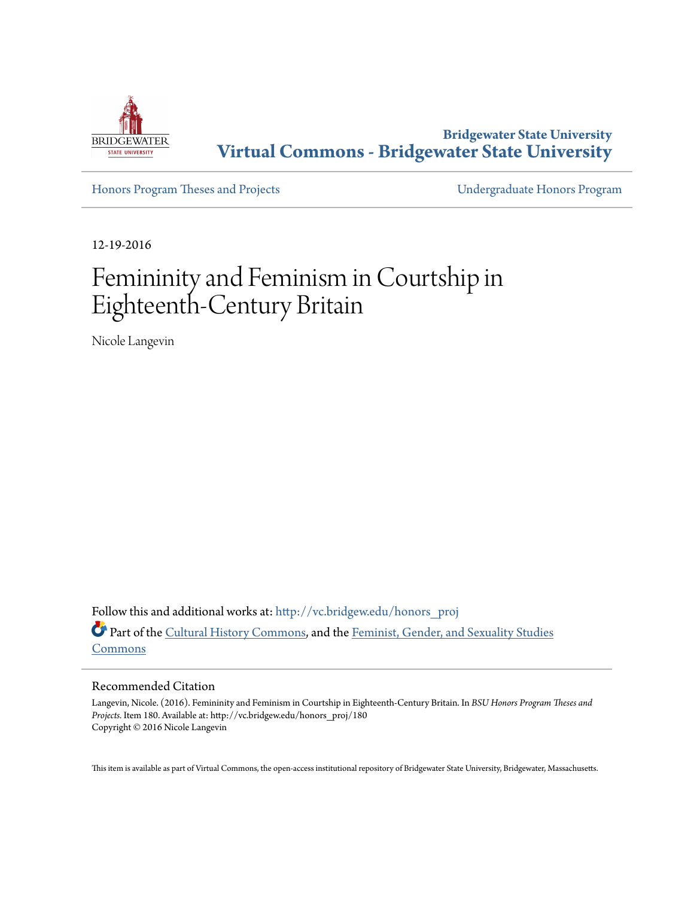

**Bridgewater State University [Virtual Commons - Bridgewater State University](http://vc.bridgew.edu?utm_source=vc.bridgew.edu%2Fhonors_proj%2F180&utm_medium=PDF&utm_campaign=PDFCoverPages)**

[Honors Program Theses and Projects](http://vc.bridgew.edu/honors_proj?utm_source=vc.bridgew.edu%2Fhonors_proj%2F180&utm_medium=PDF&utm_campaign=PDFCoverPages) [Undergraduate Honors Program](http://vc.bridgew.edu/honors?utm_source=vc.bridgew.edu%2Fhonors_proj%2F180&utm_medium=PDF&utm_campaign=PDFCoverPages)

12-19-2016

# Femininity and Feminism in Courtship in Eighteenth-Century Britain

Nicole Langevin

Follow this and additional works at: [http://vc.bridgew.edu/honors\\_proj](http://vc.bridgew.edu/honors_proj?utm_source=vc.bridgew.edu%2Fhonors_proj%2F180&utm_medium=PDF&utm_campaign=PDFCoverPages) Part of the [Cultural History Commons,](http://network.bepress.com/hgg/discipline/496?utm_source=vc.bridgew.edu%2Fhonors_proj%2F180&utm_medium=PDF&utm_campaign=PDFCoverPages) and the [Feminist, Gender, and Sexuality Studies](http://network.bepress.com/hgg/discipline/559?utm_source=vc.bridgew.edu%2Fhonors_proj%2F180&utm_medium=PDF&utm_campaign=PDFCoverPages) [Commons](http://network.bepress.com/hgg/discipline/559?utm_source=vc.bridgew.edu%2Fhonors_proj%2F180&utm_medium=PDF&utm_campaign=PDFCoverPages)

#### Recommended Citation

Langevin, Nicole. (2016). Femininity and Feminism in Courtship in Eighteenth-Century Britain. In *BSU Honors Program Theses and Projects.* Item 180. Available at: http://vc.bridgew.edu/honors\_proj/180 Copyright © 2016 Nicole Langevin

This item is available as part of Virtual Commons, the open-access institutional repository of Bridgewater State University, Bridgewater, Massachusetts.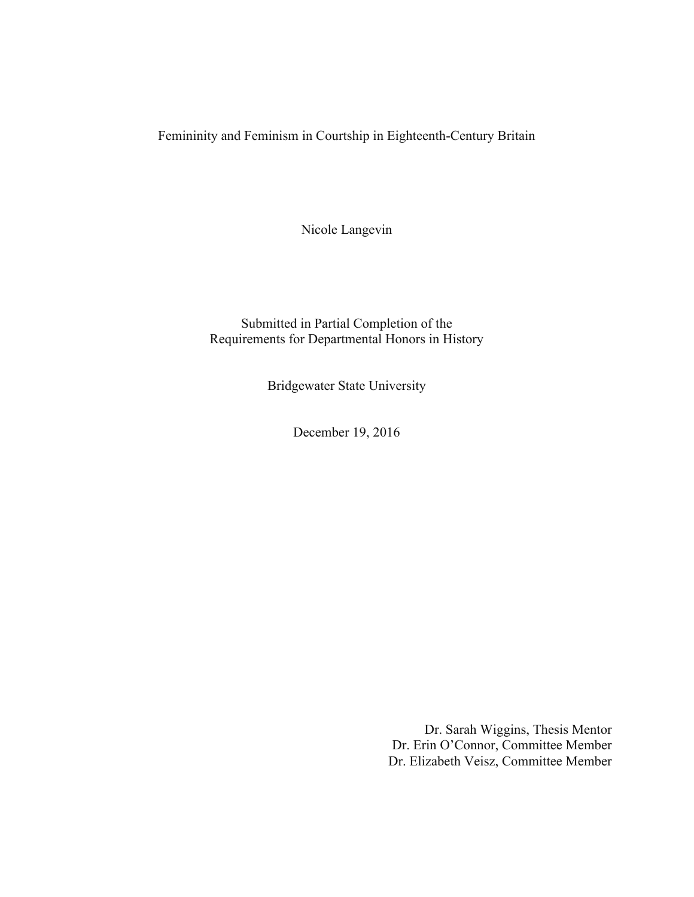Femininity and Feminism in Courtship in Eighteenth-Century Britain

Nicole Langevin

Submitted in Partial Completion of the Requirements for Departmental Honors in History

Bridgewater State University

December 19, 2016

Dr. Sarah Wiggins, Thesis Mentor Dr. Erin O'Connor, Committee Member Dr. Elizabeth Veisz, Committee Member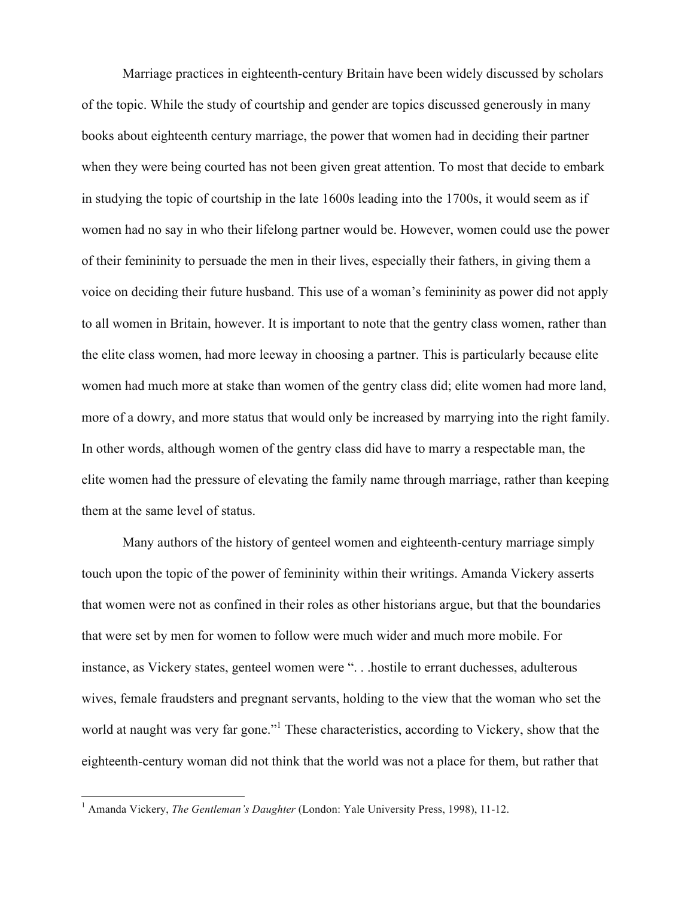Marriage practices in eighteenth-century Britain have been widely discussed by scholars of the topic. While the study of courtship and gender are topics discussed generously in many books about eighteenth century marriage, the power that women had in deciding their partner when they were being courted has not been given great attention. To most that decide to embark in studying the topic of courtship in the late 1600s leading into the 1700s, it would seem as if women had no say in who their lifelong partner would be. However, women could use the power of their femininity to persuade the men in their lives, especially their fathers, in giving them a voice on deciding their future husband. This use of a woman's femininity as power did not apply to all women in Britain, however. It is important to note that the gentry class women, rather than the elite class women, had more leeway in choosing a partner. This is particularly because elite women had much more at stake than women of the gentry class did; elite women had more land, more of a dowry, and more status that would only be increased by marrying into the right family. In other words, although women of the gentry class did have to marry a respectable man, the elite women had the pressure of elevating the family name through marriage, rather than keeping them at the same level of status.

Many authors of the history of genteel women and eighteenth-century marriage simply touch upon the topic of the power of femininity within their writings. Amanda Vickery asserts that women were not as confined in their roles as other historians argue, but that the boundaries that were set by men for women to follow were much wider and much more mobile. For instance, as Vickery states, genteel women were ". . .hostile to errant duchesses, adulterous wives, female fraudsters and pregnant servants, holding to the view that the woman who set the world at naught was very far gone."<sup>1</sup> These characteristics, according to Vickery, show that the eighteenth-century woman did not think that the world was not a place for them, but rather that

<sup>&</sup>lt;sup>1</sup> Amanda Vickery, *The Gentleman's Daughter* (London: Yale University Press, 1998), 11-12.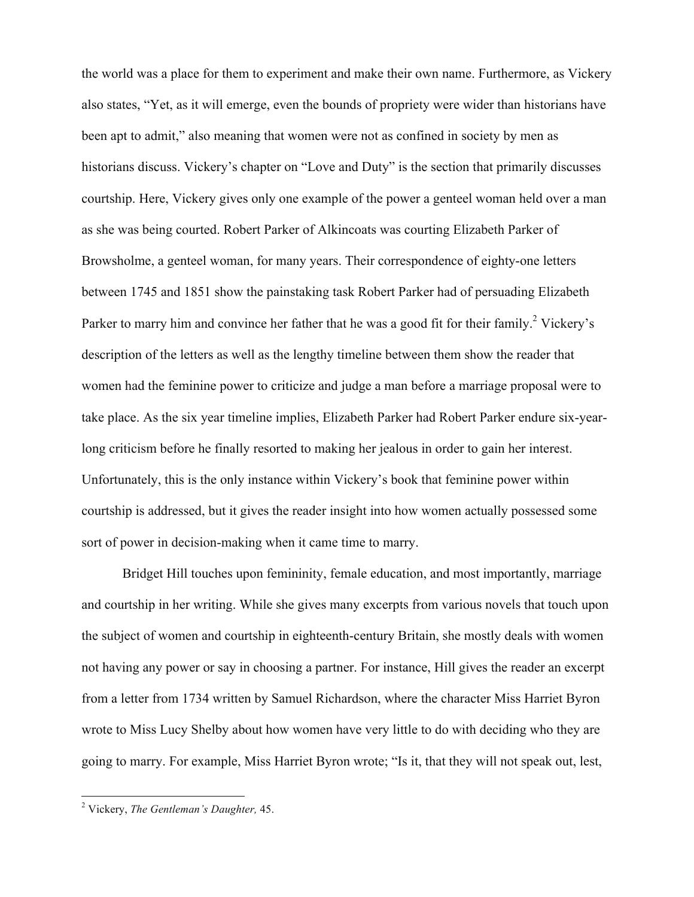the world was a place for them to experiment and make their own name. Furthermore, as Vickery also states, "Yet, as it will emerge, even the bounds of propriety were wider than historians have been apt to admit," also meaning that women were not as confined in society by men as historians discuss. Vickery's chapter on "Love and Duty" is the section that primarily discusses courtship. Here, Vickery gives only one example of the power a genteel woman held over a man as she was being courted. Robert Parker of Alkincoats was courting Elizabeth Parker of Browsholme, a genteel woman, for many years. Their correspondence of eighty-one letters between 1745 and 1851 show the painstaking task Robert Parker had of persuading Elizabeth Parker to marry him and convince her father that he was a good fit for their family.<sup>2</sup> Vickery's description of the letters as well as the lengthy timeline between them show the reader that women had the feminine power to criticize and judge a man before a marriage proposal were to take place. As the six year timeline implies, Elizabeth Parker had Robert Parker endure six-yearlong criticism before he finally resorted to making her jealous in order to gain her interest. Unfortunately, this is the only instance within Vickery's book that feminine power within courtship is addressed, but it gives the reader insight into how women actually possessed some sort of power in decision-making when it came time to marry.

Bridget Hill touches upon femininity, female education, and most importantly, marriage and courtship in her writing. While she gives many excerpts from various novels that touch upon the subject of women and courtship in eighteenth-century Britain, she mostly deals with women not having any power or say in choosing a partner. For instance, Hill gives the reader an excerpt from a letter from 1734 written by Samuel Richardson, where the character Miss Harriet Byron wrote to Miss Lucy Shelby about how women have very little to do with deciding who they are going to marry. For example, Miss Harriet Byron wrote; "Is it, that they will not speak out, lest,

 <sup>2</sup> Vickery, *The Gentleman's Daughter,* 45.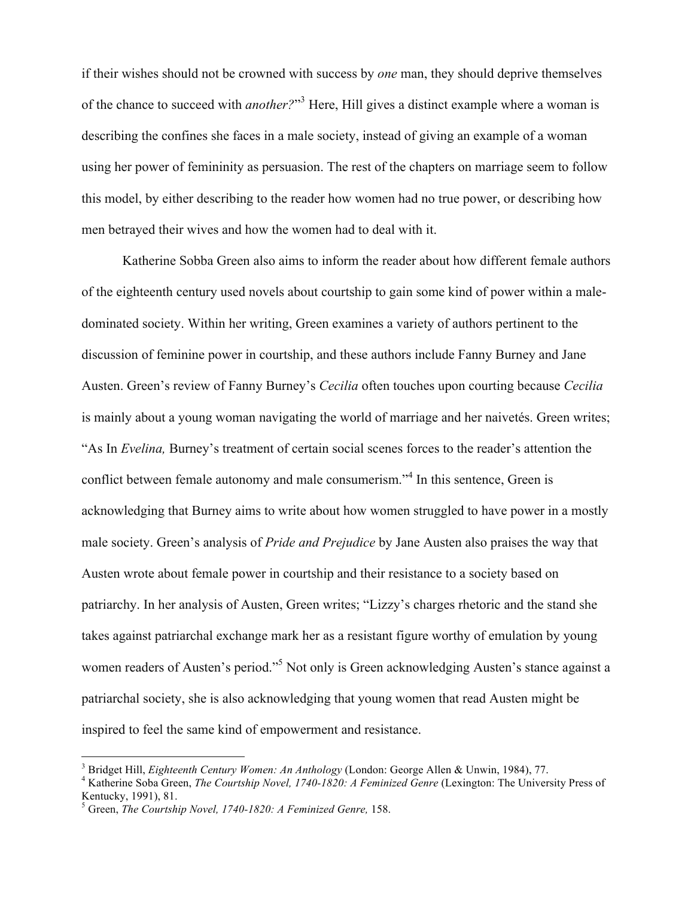if their wishes should not be crowned with success by *one* man, they should deprive themselves of the chance to succeed with *another?*" <sup>3</sup> Here, Hill gives a distinct example where a woman is describing the confines she faces in a male society, instead of giving an example of a woman using her power of femininity as persuasion. The rest of the chapters on marriage seem to follow this model, by either describing to the reader how women had no true power, or describing how men betrayed their wives and how the women had to deal with it.

Katherine Sobba Green also aims to inform the reader about how different female authors of the eighteenth century used novels about courtship to gain some kind of power within a maledominated society. Within her writing, Green examines a variety of authors pertinent to the discussion of feminine power in courtship, and these authors include Fanny Burney and Jane Austen. Green's review of Fanny Burney's *Cecilia* often touches upon courting because *Cecilia*  is mainly about a young woman navigating the world of marriage and her naivetés. Green writes; "As In *Evelina,* Burney's treatment of certain social scenes forces to the reader's attention the conflict between female autonomy and male consumerism."<sup>4</sup> In this sentence, Green is acknowledging that Burney aims to write about how women struggled to have power in a mostly male society. Green's analysis of *Pride and Prejudice* by Jane Austen also praises the way that Austen wrote about female power in courtship and their resistance to a society based on patriarchy. In her analysis of Austen, Green writes; "Lizzy's charges rhetoric and the stand she takes against patriarchal exchange mark her as a resistant figure worthy of emulation by young women readers of Austen's period."<sup>5</sup> Not only is Green acknowledging Austen's stance against a patriarchal society, she is also acknowledging that young women that read Austen might be inspired to feel the same kind of empowerment and resistance.

<sup>&</sup>lt;sup>3</sup> Bridget Hill, *Eighteenth Century Women: An Anthology* (London: George Allen & Unwin, 1984), 77.<br><sup>4</sup> Katherine Soba Green, *The Courtship Novel, 1740-1820: A Feminized Genre* (Lexington: The University Press of Kentucky, 1991), 81.<br><sup>5</sup> Green, *The Courtship Novel, 1740-1820: A Feminized Genre,* 158.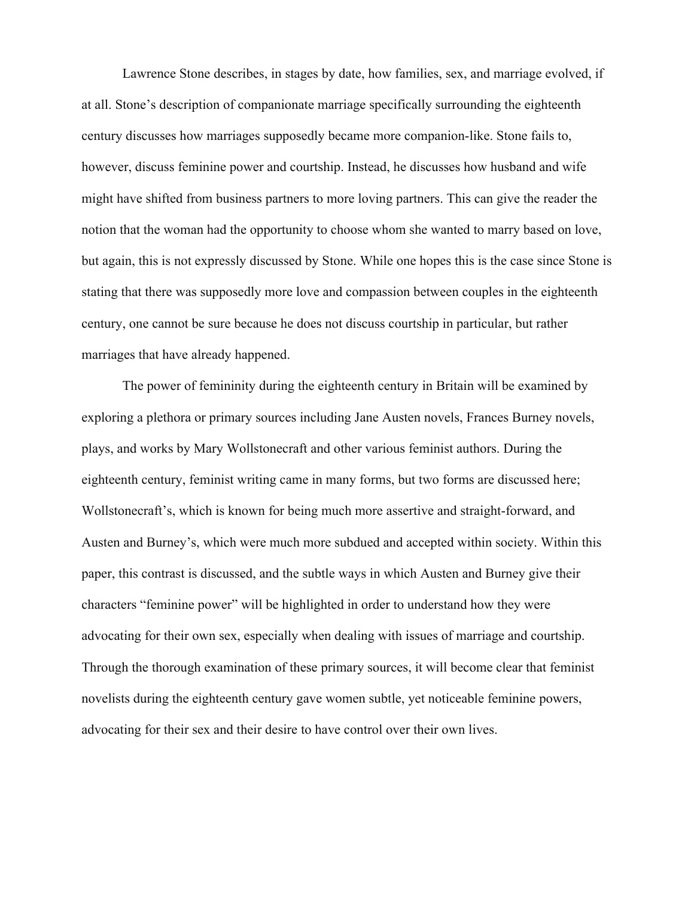Lawrence Stone describes, in stages by date, how families, sex, and marriage evolved, if at all. Stone's description of companionate marriage specifically surrounding the eighteenth century discusses how marriages supposedly became more companion-like. Stone fails to, however, discuss feminine power and courtship. Instead, he discusses how husband and wife might have shifted from business partners to more loving partners. This can give the reader the notion that the woman had the opportunity to choose whom she wanted to marry based on love, but again, this is not expressly discussed by Stone. While one hopes this is the case since Stone is stating that there was supposedly more love and compassion between couples in the eighteenth century, one cannot be sure because he does not discuss courtship in particular, but rather marriages that have already happened.

The power of femininity during the eighteenth century in Britain will be examined by exploring a plethora or primary sources including Jane Austen novels, Frances Burney novels, plays, and works by Mary Wollstonecraft and other various feminist authors. During the eighteenth century, feminist writing came in many forms, but two forms are discussed here; Wollstonecraft's, which is known for being much more assertive and straight-forward, and Austen and Burney's, which were much more subdued and accepted within society. Within this paper, this contrast is discussed, and the subtle ways in which Austen and Burney give their characters "feminine power" will be highlighted in order to understand how they were advocating for their own sex, especially when dealing with issues of marriage and courtship. Through the thorough examination of these primary sources, it will become clear that feminist novelists during the eighteenth century gave women subtle, yet noticeable feminine powers, advocating for their sex and their desire to have control over their own lives.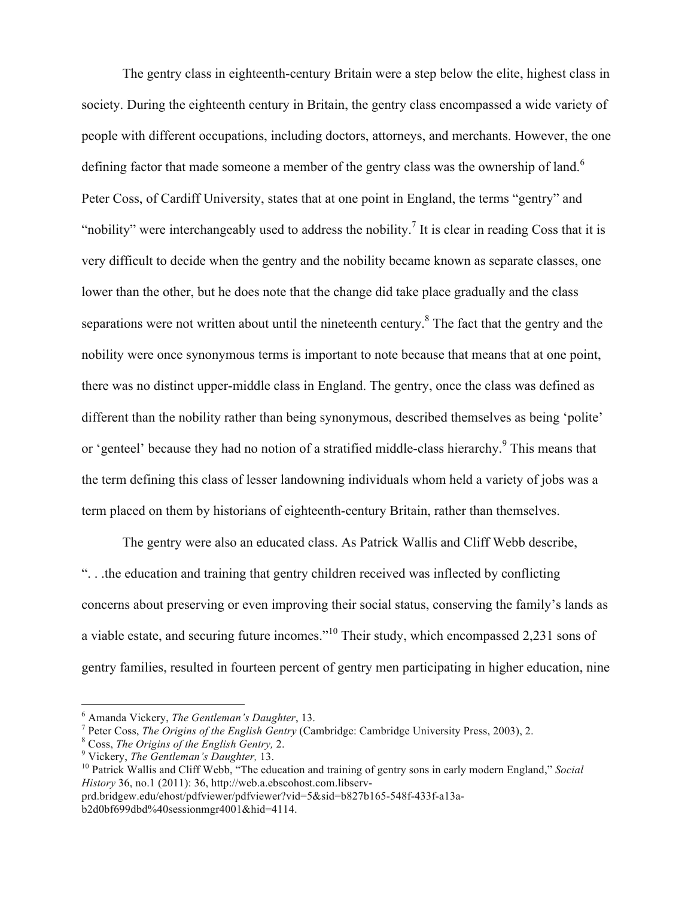The gentry class in eighteenth-century Britain were a step below the elite, highest class in society. During the eighteenth century in Britain, the gentry class encompassed a wide variety of people with different occupations, including doctors, attorneys, and merchants. However, the one defining factor that made someone a member of the gentry class was the ownership of land.<sup>6</sup> Peter Coss, of Cardiff University, states that at one point in England, the terms "gentry" and "nobility" were interchangeably used to address the nobility.<sup>7</sup> It is clear in reading Coss that it is very difficult to decide when the gentry and the nobility became known as separate classes, one lower than the other, but he does note that the change did take place gradually and the class separations were not written about until the nineteenth century.<sup>8</sup> The fact that the gentry and the nobility were once synonymous terms is important to note because that means that at one point, there was no distinct upper-middle class in England. The gentry, once the class was defined as different than the nobility rather than being synonymous, described themselves as being 'polite' or 'genteel' because they had no notion of a stratified middle-class hierarchy.<sup>9</sup> This means that the term defining this class of lesser landowning individuals whom held a variety of jobs was a term placed on them by historians of eighteenth-century Britain, rather than themselves.

The gentry were also an educated class. As Patrick Wallis and Cliff Webb describe, ". . .the education and training that gentry children received was inflected by conflicting concerns about preserving or even improving their social status, conserving the family's lands as a viable estate, and securing future incomes."<sup>10</sup> Their study, which encompassed 2,231 sons of gentry families, resulted in fourteen percent of gentry men participating in higher education, nine

<sup>&</sup>lt;sup>6</sup> Amanda Vickery, *The Gentleman's Daughter*, 13.<br><sup>7</sup> Peter Coss, *The Origins of the English Gentry* (Cambridge: Cambridge University Press, 2003), 2.<br><sup>8</sup> Coss, *The Origins of the English Gentry*, 2.<br>9 Vickery, *The G* 

*History* 36, no.1 (2011): 36, http://web.a.ebscohost.com.libserv-

prd.bridgew.edu/ehost/pdfviewer/pdfviewer?vid=5&sid=b827b165-548f-433f-a13ab2d0bf699dbd%40sessionmgr4001&hid=4114.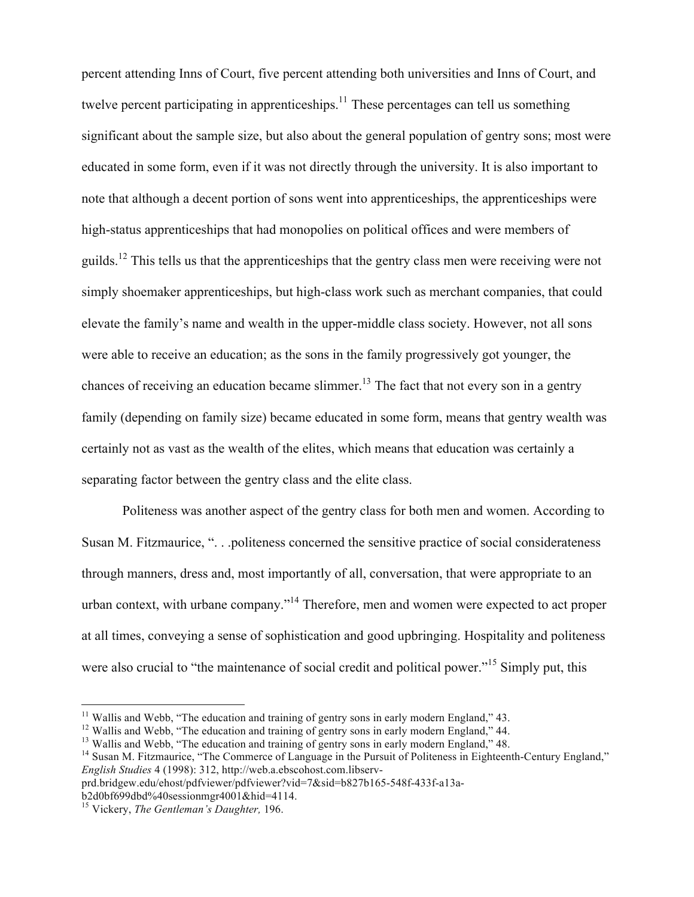percent attending Inns of Court, five percent attending both universities and Inns of Court, and twelve percent participating in apprenticeships.<sup>11</sup> These percentages can tell us something significant about the sample size, but also about the general population of gentry sons; most were educated in some form, even if it was not directly through the university. It is also important to note that although a decent portion of sons went into apprenticeships, the apprenticeships were high-status apprenticeships that had monopolies on political offices and were members of guilds.<sup>12</sup> This tells us that the apprenticeships that the gentry class men were receiving were not simply shoemaker apprenticeships, but high-class work such as merchant companies, that could elevate the family's name and wealth in the upper-middle class society. However, not all sons were able to receive an education; as the sons in the family progressively got younger, the chances of receiving an education became slimmer.<sup>13</sup> The fact that not every son in a gentry family (depending on family size) became educated in some form, means that gentry wealth was certainly not as vast as the wealth of the elites, which means that education was certainly a separating factor between the gentry class and the elite class.

Politeness was another aspect of the gentry class for both men and women. According to Susan M. Fitzmaurice, ". . .politeness concerned the sensitive practice of social considerateness through manners, dress and, most importantly of all, conversation, that were appropriate to an urban context, with urbane company."14 Therefore, men and women were expected to act proper at all times, conveying a sense of sophistication and good upbringing. Hospitality and politeness were also crucial to "the maintenance of social credit and political power."<sup>15</sup> Simply put, this

<sup>&</sup>lt;sup>11</sup> Wallis and Webb, "The education and training of gentry sons in early modern England," 43.<br><sup>12</sup> Wallis and Webb, "The education and training of gentry sons in early modern England," 44.<br><sup>13</sup> Wallis and Webb, "The educ *English Studies* 4 (1998): 312, http://web.a.ebscohost.com.libserv-

prd.bridgew.edu/ehost/pdfviewer/pdfviewer?vid=7&sid=b827b165-548f-433f-a13ab2d0bf699dbd%40sessionmgr4001&hid=4114.

<sup>15</sup> Vickery, *The Gentleman's Daughter,* 196.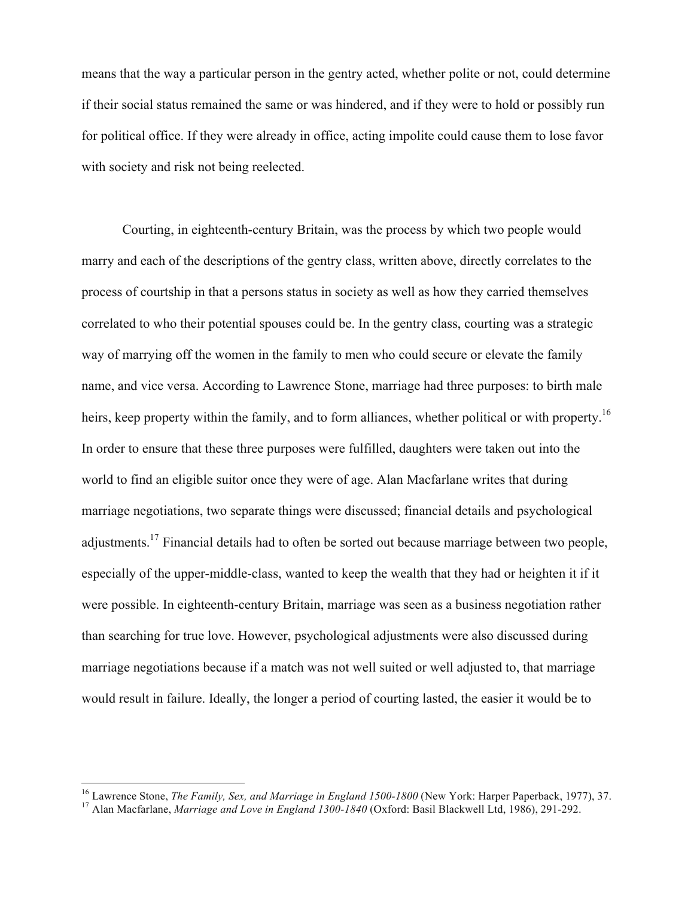means that the way a particular person in the gentry acted, whether polite or not, could determine if their social status remained the same or was hindered, and if they were to hold or possibly run for political office. If they were already in office, acting impolite could cause them to lose favor with society and risk not being reelected.

Courting, in eighteenth-century Britain, was the process by which two people would marry and each of the descriptions of the gentry class, written above, directly correlates to the process of courtship in that a persons status in society as well as how they carried themselves correlated to who their potential spouses could be. In the gentry class, courting was a strategic way of marrying off the women in the family to men who could secure or elevate the family name, and vice versa. According to Lawrence Stone, marriage had three purposes: to birth male heirs, keep property within the family, and to form alliances, whether political or with property.<sup>16</sup> In order to ensure that these three purposes were fulfilled, daughters were taken out into the world to find an eligible suitor once they were of age. Alan Macfarlane writes that during marriage negotiations, two separate things were discussed; financial details and psychological adjustments.17 Financial details had to often be sorted out because marriage between two people, especially of the upper-middle-class, wanted to keep the wealth that they had or heighten it if it were possible. In eighteenth-century Britain, marriage was seen as a business negotiation rather than searching for true love. However, psychological adjustments were also discussed during marriage negotiations because if a match was not well suited or well adjusted to, that marriage would result in failure. Ideally, the longer a period of courting lasted, the easier it would be to

<sup>&</sup>lt;sup>16</sup> Lawrence Stone, *The Family, Sex, and Marriage in England 1500-1800* (New York: Harper Paperback, 1977), 37.<br><sup>17</sup> Alan Macfarlane, *Marriage and Love in England 1300-1840* (Oxford: Basil Blackwell Ltd, 1986), 291-292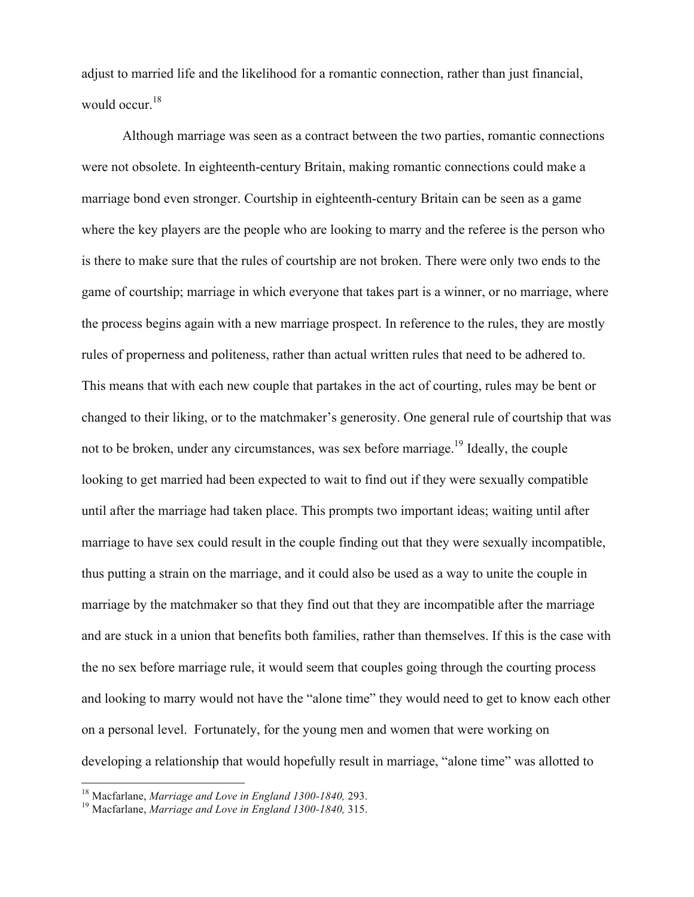adjust to married life and the likelihood for a romantic connection, rather than just financial, would occur.<sup>18</sup>

Although marriage was seen as a contract between the two parties, romantic connections were not obsolete. In eighteenth-century Britain, making romantic connections could make a marriage bond even stronger. Courtship in eighteenth-century Britain can be seen as a game where the key players are the people who are looking to marry and the referee is the person who is there to make sure that the rules of courtship are not broken. There were only two ends to the game of courtship; marriage in which everyone that takes part is a winner, or no marriage, where the process begins again with a new marriage prospect. In reference to the rules, they are mostly rules of properness and politeness, rather than actual written rules that need to be adhered to. This means that with each new couple that partakes in the act of courting, rules may be bent or changed to their liking, or to the matchmaker's generosity. One general rule of courtship that was not to be broken, under any circumstances, was sex before marriage.<sup>19</sup> Ideally, the couple looking to get married had been expected to wait to find out if they were sexually compatible until after the marriage had taken place. This prompts two important ideas; waiting until after marriage to have sex could result in the couple finding out that they were sexually incompatible, thus putting a strain on the marriage, and it could also be used as a way to unite the couple in marriage by the matchmaker so that they find out that they are incompatible after the marriage and are stuck in a union that benefits both families, rather than themselves. If this is the case with the no sex before marriage rule, it would seem that couples going through the courting process and looking to marry would not have the "alone time" they would need to get to know each other on a personal level. Fortunately, for the young men and women that were working on developing a relationship that would hopefully result in marriage, "alone time" was allotted to

<sup>18</sup> Macfarlane, *Marriage and Love in England 1300-1840,* 293. <sup>19</sup> Macfarlane, *Marriage and Love in England 1300-1840,* 315.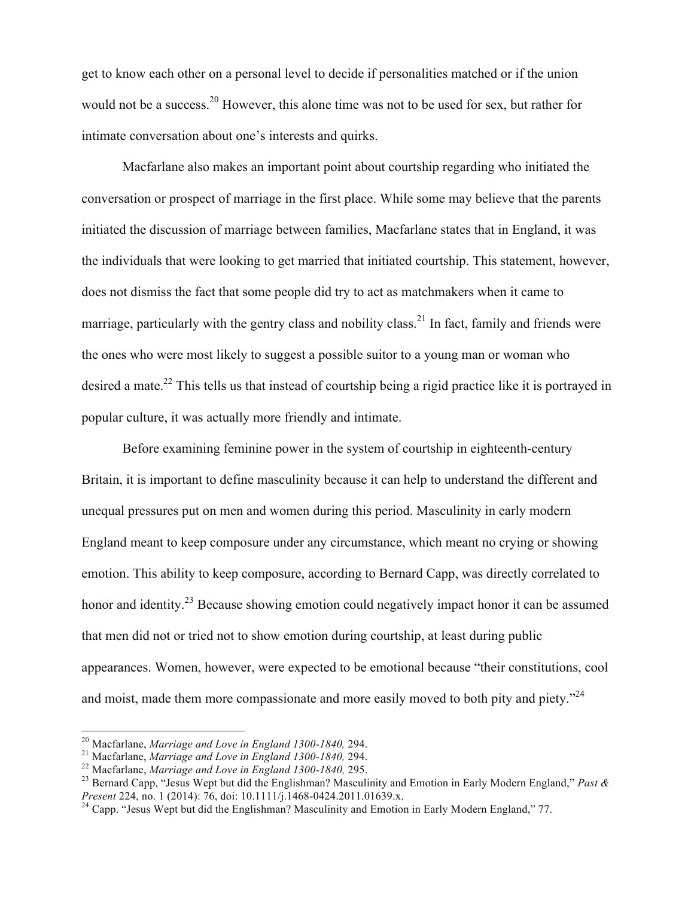get to know each other on a personal level to decide if personalities matched or if the union would not be a success.<sup>20</sup> However, this alone time was not to be used for sex, but rather for intimate conversation about one's interests and quirks.

Macfarlane also makes an important point about courtship regarding who initiated the conversation or prospect of marriage in the first place. While some may believe that the parents initiated the discussion of marriage between families, Macfarlane states that in England, it was the individuals that were looking to get married that initiated courtship. This statement, however, does not dismiss the fact that some people did try to act as matchmakers when it came to marriage, particularly with the gentry class and nobility class.<sup>21</sup> In fact, family and friends were the ones who were most likely to suggest a possible suitor to a young man or woman who desired a mate.<sup>22</sup> This tells us that instead of courtship being a rigid practice like it is portrayed in popular culture, it was actually more friendly and intimate.

Before examining feminine power in the system of courtship in eighteenth-century Britain, it is important to define masculinity because it can help to understand the different and unequal pressures put on men and women during this period. Masculinity in early modern England meant to keep composure under any circumstance, which meant no crying or showing emotion. This ability to keep composure, according to Bernard Capp, was directly correlated to honor and identity.<sup>23</sup> Because showing emotion could negatively impact honor it can be assumed that men did not or tried not to show emotion during courtship, at least during public appearances. Women, however, were expected to be emotional because "their constitutions, cool and moist, made them more compassionate and more easily moved to both pity and piety."<sup>24</sup>

<sup>&</sup>lt;sup>20</sup> Macfarlane, *Marriage and Love in England 1300-1840*, 294.<br><sup>21</sup> Macfarlane, *Marriage and Love in England 1300-1840*, 294.<br><sup>22</sup> Macfarlane, *Marriage and Love in England 1300-1840*, 295.<br><sup>23</sup> Bernard Capp, "Jesus Wep

<sup>&</sup>lt;sup>24</sup> Capp. "Jesus Wept but did the Englishman? Masculinity and Emotion in Early Modern England," 77.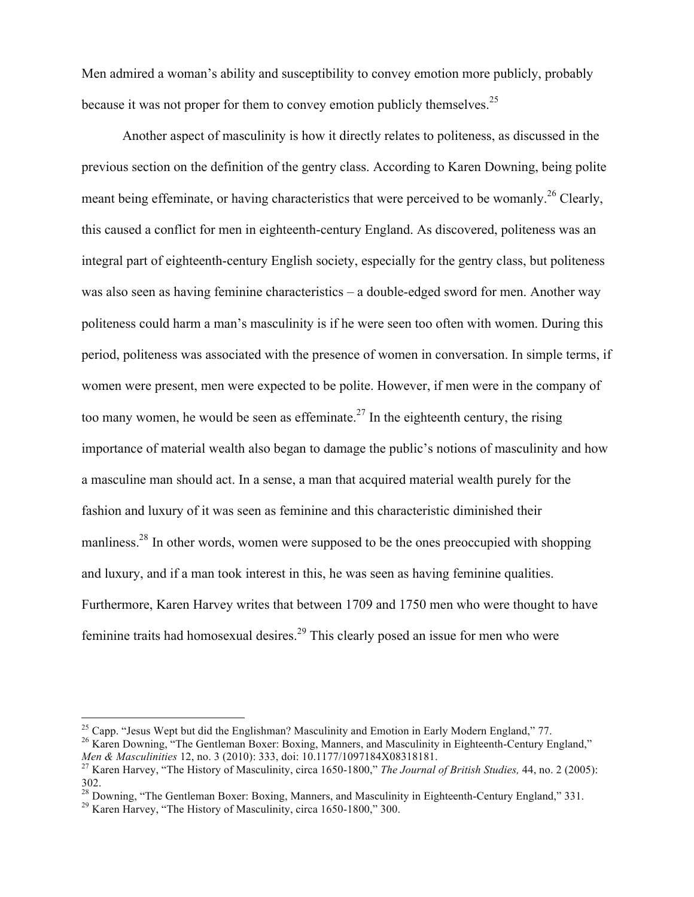Men admired a woman's ability and susceptibility to convey emotion more publicly, probably because it was not proper for them to convey emotion publicly themselves.<sup>25</sup>

Another aspect of masculinity is how it directly relates to politeness, as discussed in the previous section on the definition of the gentry class. According to Karen Downing, being polite meant being effeminate, or having characteristics that were perceived to be womanly.<sup>26</sup> Clearly, this caused a conflict for men in eighteenth-century England. As discovered, politeness was an integral part of eighteenth-century English society, especially for the gentry class, but politeness was also seen as having feminine characteristics – a double-edged sword for men. Another way politeness could harm a man's masculinity is if he were seen too often with women. During this period, politeness was associated with the presence of women in conversation. In simple terms, if women were present, men were expected to be polite. However, if men were in the company of too many women, he would be seen as effeminate.<sup>27</sup> In the eighteenth century, the rising importance of material wealth also began to damage the public's notions of masculinity and how a masculine man should act. In a sense, a man that acquired material wealth purely for the fashion and luxury of it was seen as feminine and this characteristic diminished their manliness.<sup>28</sup> In other words, women were supposed to be the ones preoccupied with shopping and luxury, and if a man took interest in this, he was seen as having feminine qualities. Furthermore, Karen Harvey writes that between 1709 and 1750 men who were thought to have feminine traits had homosexual desires.<sup>29</sup> This clearly posed an issue for men who were

<sup>&</sup>lt;sup>25</sup> Capp. "Jesus Wept but did the Englishman? Masculinity and Emotion in Early Modern England," 77.  $^{26}$  Karen Downing, "The Gentleman Boxer: Boxing, Manners, and Masculinity in Eighteenth-Century England," *Men & Masculinities* 12, no. 3 (2010): 333, doi: 10.1177/1097184X08318181.<br><sup>27</sup> Karen Harvey, "The History of Masculinity, circa 1650-1800," *The Journal of British Studies,* 44, no. 2 (2005):

<sup>302.</sup>

<sup>&</sup>lt;sup>28</sup> Downing, "The Gentleman Boxer: Boxing, Manners, and Masculinity in Eighteenth-Century England," 331.<br><sup>29</sup> Karen Harvey, "The History of Masculinity, circa 1650-1800," 300.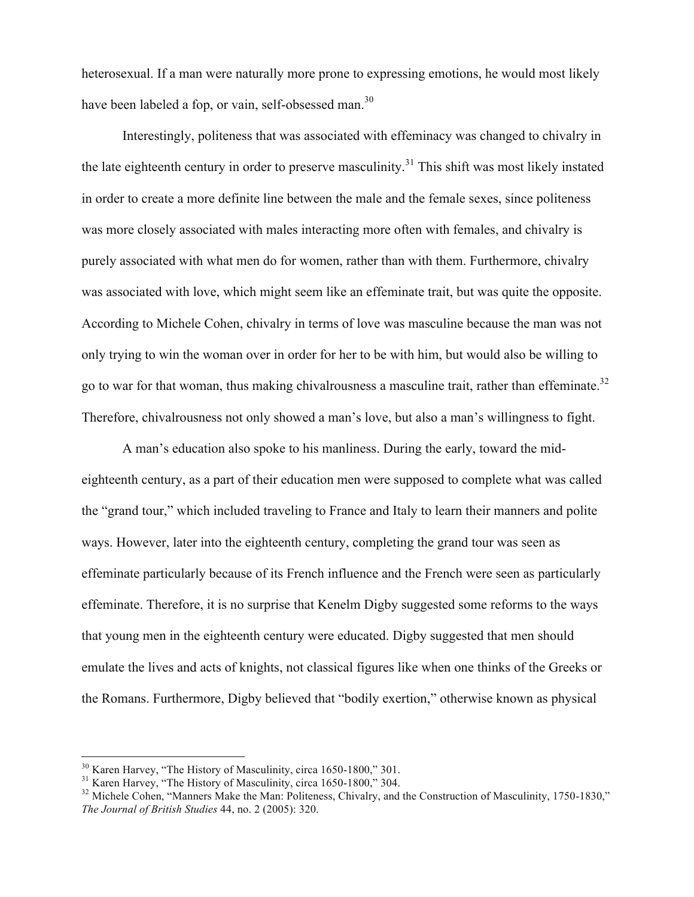heterosexual. If a man were naturally more prone to expressing emotions, he would most likely have been labeled a fop, or vain, self-obsessed man.<sup>30</sup>

Interestingly, politeness that was associated with effeminacy was changed to chivalry in the late eighteenth century in order to preserve masculinity.<sup>31</sup> This shift was most likely instated in order to create a more definite line between the male and the female sexes, since politeness was more closely associated with males interacting more often with females, and chivalry is purely associated with what men do for women, rather than with them. Furthermore, chivalry was associated with love, which might seem like an effeminate trait, but was quite the opposite. According to Michele Cohen, chivalry in terms of love was masculine because the man was not only trying to win the woman over in order for her to be with him, but would also be willing to go to war for that woman, thus making chivalrousness a masculine trait, rather than effeminate.<sup>32</sup> Therefore, chivalrousness not only showed a man's love, but also a man's willingness to fight.

A man's education also spoke to his manliness. During the early, toward the mideighteenth century, as a part of their education men were supposed to complete what was called the "grand tour," which included traveling to France and Italy to learn their manners and polite ways. However, later into the eighteenth century, completing the grand tour was seen as effeminate particularly because of its French influence and the French were seen as particularly effeminate. Therefore, it is no surprise that Kenelm Digby suggested some reforms to the ways that young men in the eighteenth century were educated. Digby suggested that men should emulate the lives and acts of knights, not classical figures like when one thinks of the Greeks or the Romans. Furthermore, Digby believed that "bodily exertion," otherwise known as physical

<sup>&</sup>lt;sup>30</sup> Karen Harvey, "The History of Masculinity, circa 1650-1800," 301.<br><sup>31</sup> Karen Harvey, "The History of Masculinity, circa 1650-1800," 304.<br><sup>32</sup> Michele Cohen, "Manners Make the Man: Politeness, Chivalry, and the Constr *The Journal of British Studies* 44, no. 2 (2005): 320.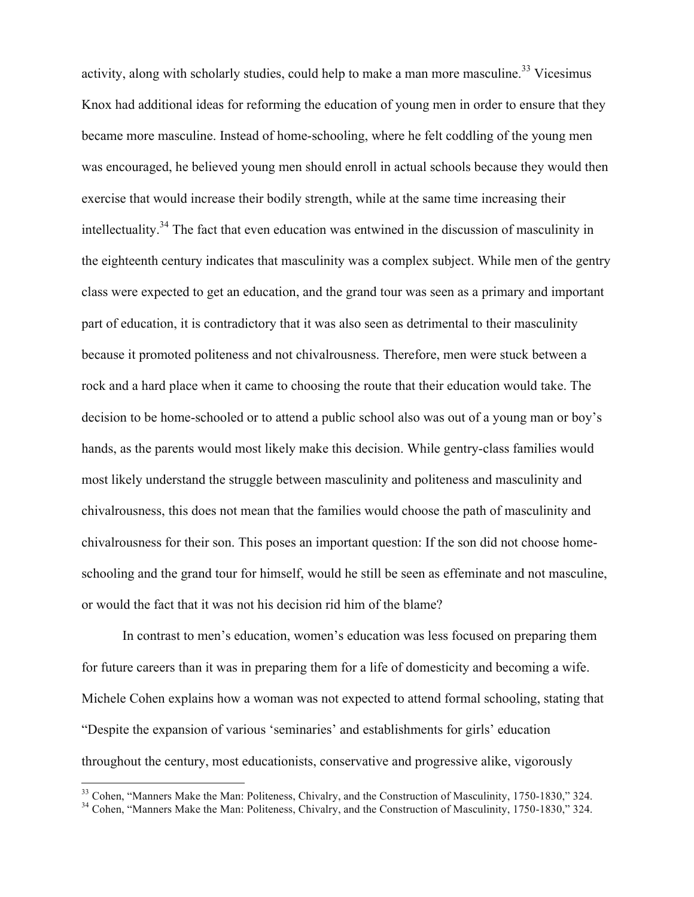activity, along with scholarly studies, could help to make a man more masculine.<sup>33</sup> Vicesimus Knox had additional ideas for reforming the education of young men in order to ensure that they became more masculine. Instead of home-schooling, where he felt coddling of the young men was encouraged, he believed young men should enroll in actual schools because they would then exercise that would increase their bodily strength, while at the same time increasing their intellectuality.34 The fact that even education was entwined in the discussion of masculinity in the eighteenth century indicates that masculinity was a complex subject. While men of the gentry class were expected to get an education, and the grand tour was seen as a primary and important part of education, it is contradictory that it was also seen as detrimental to their masculinity because it promoted politeness and not chivalrousness. Therefore, men were stuck between a rock and a hard place when it came to choosing the route that their education would take. The decision to be home-schooled or to attend a public school also was out of a young man or boy's hands, as the parents would most likely make this decision. While gentry-class families would most likely understand the struggle between masculinity and politeness and masculinity and chivalrousness, this does not mean that the families would choose the path of masculinity and chivalrousness for their son. This poses an important question: If the son did not choose homeschooling and the grand tour for himself, would he still be seen as effeminate and not masculine, or would the fact that it was not his decision rid him of the blame?

In contrast to men's education, women's education was less focused on preparing them for future careers than it was in preparing them for a life of domesticity and becoming a wife. Michele Cohen explains how a woman was not expected to attend formal schooling, stating that "Despite the expansion of various 'seminaries' and establishments for girls' education throughout the century, most educationists, conservative and progressive alike, vigorously

<sup>&</sup>lt;sup>33</sup> Cohen, "Manners Make the Man: Politeness, Chivalry, and the Construction of Masculinity, 1750-1830," 324. Cohen, "Manners Make the Man: Politeness, Chivalry, and the Construction of Masculinity, 1750-1830," 324.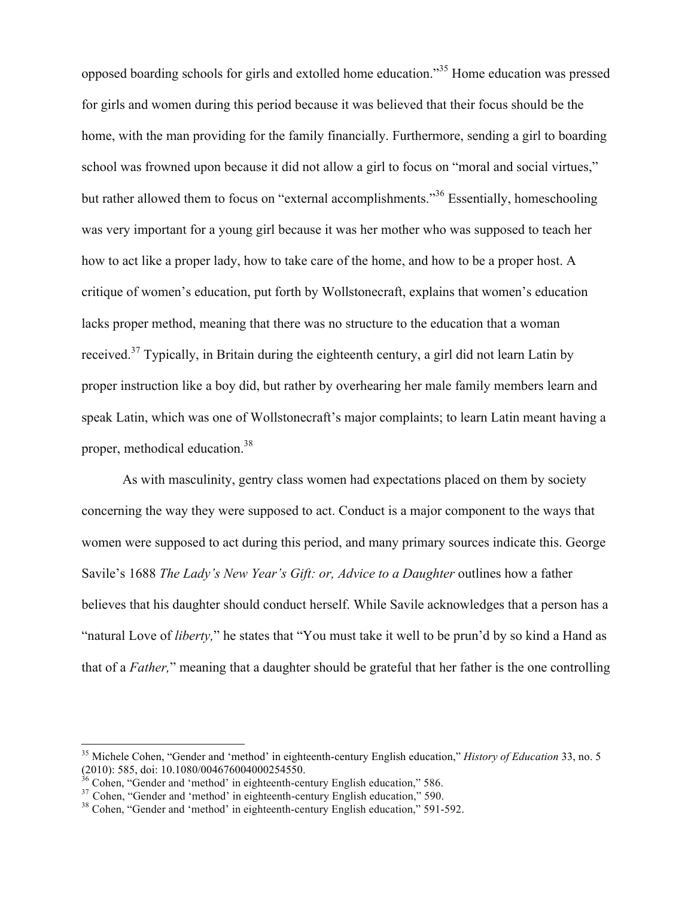opposed boarding schools for girls and extolled home education."<sup>35</sup> Home education was pressed for girls and women during this period because it was believed that their focus should be the home, with the man providing for the family financially. Furthermore, sending a girl to boarding school was frowned upon because it did not allow a girl to focus on "moral and social virtues," but rather allowed them to focus on "external accomplishments."<sup>36</sup> Essentially, homeschooling was very important for a young girl because it was her mother who was supposed to teach her how to act like a proper lady, how to take care of the home, and how to be a proper host. A critique of women's education, put forth by Wollstonecraft, explains that women's education lacks proper method, meaning that there was no structure to the education that a woman received.<sup>37</sup> Typically, in Britain during the eighteenth century, a girl did not learn Latin by proper instruction like a boy did, but rather by overhearing her male family members learn and speak Latin, which was one of Wollstonecraft's major complaints; to learn Latin meant having a proper, methodical education.<sup>38</sup>

As with masculinity, gentry class women had expectations placed on them by society concerning the way they were supposed to act. Conduct is a major component to the ways that women were supposed to act during this period, and many primary sources indicate this. George Savile's 1688 *The Lady's New Year's Gift: or, Advice to a Daughter outlines how a father* believes that his daughter should conduct herself. While Savile acknowledges that a person has a "natural Love of *liberty,*" he states that "You must take it well to be prun'd by so kind a Hand as that of a *Father,*" meaning that a daughter should be grateful that her father is the one controlling

 <sup>35</sup> Michele Cohen, "Gender and 'method' in eighteenth-century English education," *History of Education* 33, no. 5  $(2010)$ : 585, doi: 10.1080/004676004000254550.<br><sup>36</sup> Cohen, "Gender and 'method' in eighteenth-century English education," 586.<br><sup>37</sup> Cohen, "Gender and 'method' in eighteenth-century English education," 590.<br><sup>38</sup> Cohen, "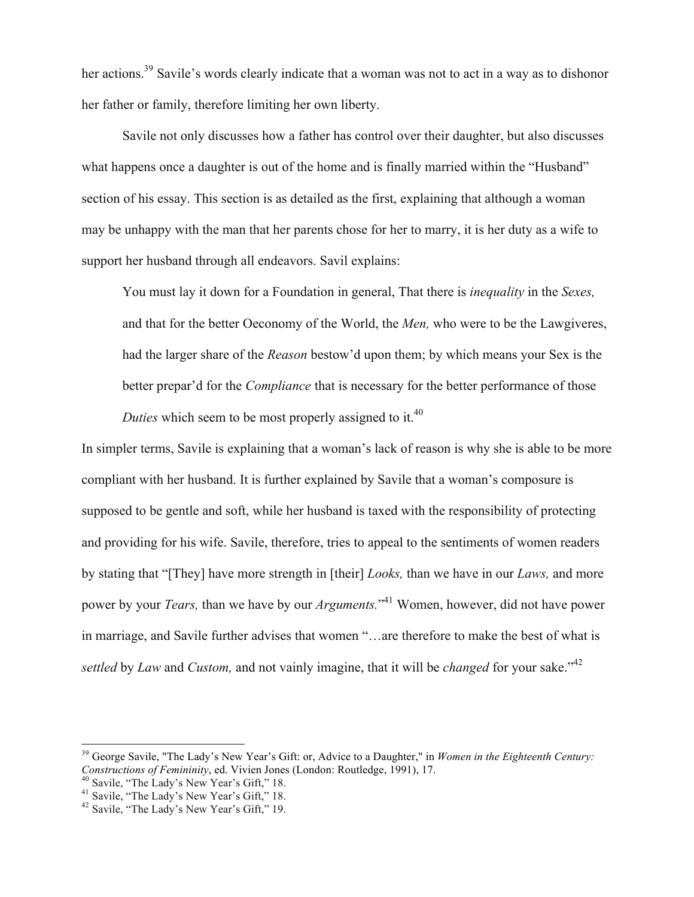her actions.<sup>39</sup> Savile's words clearly indicate that a woman was not to act in a way as to dishonor her father or family, therefore limiting her own liberty.

Savile not only discusses how a father has control over their daughter, but also discusses what happens once a daughter is out of the home and is finally married within the "Husband" section of his essay. This section is as detailed as the first, explaining that although a woman may be unhappy with the man that her parents chose for her to marry, it is her duty as a wife to support her husband through all endeavors. Savil explains:

You must lay it down for a Foundation in general, That there is *inequality* in the *Sexes,*  and that for the better Oeconomy of the World, the *Men,* who were to be the Lawgiveres, had the larger share of the *Reason* bestow'd upon them; by which means your Sex is the better prepar'd for the *Compliance* that is necessary for the better performance of those *Duties* which seem to be most properly assigned to it.<sup>40</sup>

In simpler terms, Savile is explaining that a woman's lack of reason is why she is able to be more compliant with her husband. It is further explained by Savile that a woman's composure is supposed to be gentle and soft, while her husband is taxed with the responsibility of protecting and providing for his wife. Savile, therefore, tries to appeal to the sentiments of women readers by stating that "[They] have more strength in [their] *Looks,* than we have in our *Laws,* and more power by your *Tears,* than we have by our *Arguments.*" <sup>41</sup> Women, however, did not have power in marriage, and Savile further advises that women "…are therefore to make the best of what is *settled* by *Law* and *Custom*, and not vainly imagine, that it will be *changed* for your sake.<sup>"42</sup>

<sup>&</sup>lt;sup>39</sup> George Savile, "The Lady's New Year's Gift: or, Advice to a Daughter," in *Women in the Eighteenth Century: Constructions of Femininity*, ed. Vivien Jones (London: Routledge, 1991), 17.

<sup>&</sup>lt;sup>40</sup> Savile, "The Lady's New Year's Gift," 18.<br><sup>41</sup> Savile, "The Lady's New Year's Gift," 18.<br><sup>42</sup> Savile, "The Lady's New Year's Gift," 19.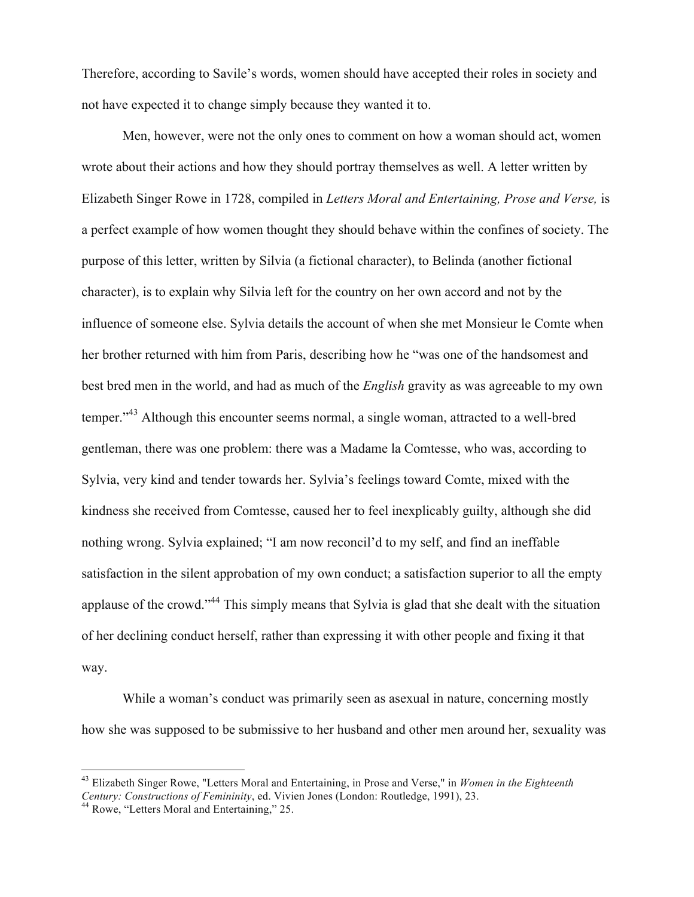Therefore, according to Savile's words, women should have accepted their roles in society and not have expected it to change simply because they wanted it to.

Men, however, were not the only ones to comment on how a woman should act, women wrote about their actions and how they should portray themselves as well. A letter written by Elizabeth Singer Rowe in 1728, compiled in *Letters Moral and Entertaining, Prose and Verse,* is a perfect example of how women thought they should behave within the confines of society. The purpose of this letter, written by Silvia (a fictional character), to Belinda (another fictional character), is to explain why Silvia left for the country on her own accord and not by the influence of someone else. Sylvia details the account of when she met Monsieur le Comte when her brother returned with him from Paris, describing how he "was one of the handsomest and best bred men in the world, and had as much of the *English* gravity as was agreeable to my own temper."<sup>43</sup> Although this encounter seems normal, a single woman, attracted to a well-bred gentleman, there was one problem: there was a Madame la Comtesse, who was, according to Sylvia, very kind and tender towards her. Sylvia's feelings toward Comte, mixed with the kindness she received from Comtesse, caused her to feel inexplicably guilty, although she did nothing wrong. Sylvia explained; "I am now reconcil'd to my self, and find an ineffable satisfaction in the silent approbation of my own conduct; a satisfaction superior to all the empty applause of the crowd."<sup>44</sup> This simply means that Sylvia is glad that she dealt with the situation of her declining conduct herself, rather than expressing it with other people and fixing it that way.

While a woman's conduct was primarily seen as asexual in nature, concerning mostly how she was supposed to be submissive to her husband and other men around her, sexuality was

 <sup>43</sup> Elizabeth Singer Rowe, "Letters Moral and Entertaining, in Prose and Verse," in *Women in the Eighteenth Century: Constructions of Femininity*, ed. Vivien Jones (London: Routledge, 1991), 23. <sup>44</sup> Rowe, "Letters Moral and Entertaining," 25.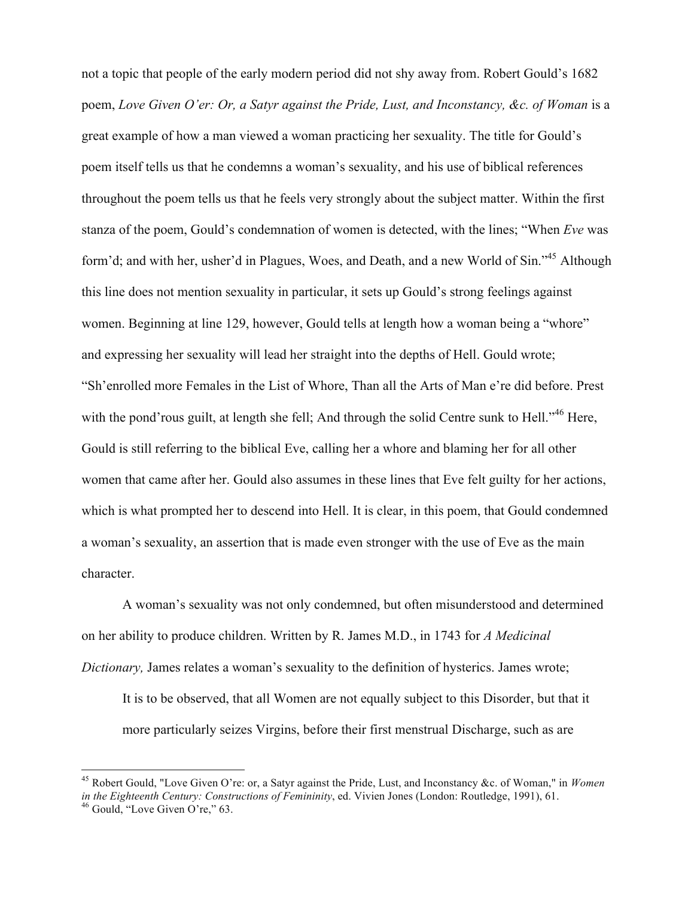not a topic that people of the early modern period did not shy away from. Robert Gould's 1682 poem, *Love Given O'er: Or, a Satyr against the Pride, Lust, and Inconstancy, &c. of Woman* is a great example of how a man viewed a woman practicing her sexuality. The title for Gould's poem itself tells us that he condemns a woman's sexuality, and his use of biblical references throughout the poem tells us that he feels very strongly about the subject matter. Within the first stanza of the poem, Gould's condemnation of women is detected, with the lines; "When *Eve* was form'd; and with her, usher'd in Plagues, Woes, and Death, and a new World of Sin."<sup>45</sup> Although this line does not mention sexuality in particular, it sets up Gould's strong feelings against women. Beginning at line 129, however, Gould tells at length how a woman being a "whore" and expressing her sexuality will lead her straight into the depths of Hell. Gould wrote; "Sh'enrolled more Females in the List of Whore, Than all the Arts of Man e're did before. Prest with the pond'rous guilt, at length she fell; And through the solid Centre sunk to Hell."<sup>46</sup> Here, Gould is still referring to the biblical Eve, calling her a whore and blaming her for all other women that came after her. Gould also assumes in these lines that Eve felt guilty for her actions, which is what prompted her to descend into Hell. It is clear, in this poem, that Gould condemned a woman's sexuality, an assertion that is made even stronger with the use of Eve as the main character.

A woman's sexuality was not only condemned, but often misunderstood and determined on her ability to produce children. Written by R. James M.D., in 1743 for *A Medicinal Dictionary,* James relates a woman's sexuality to the definition of hysterics. James wrote;

It is to be observed, that all Women are not equally subject to this Disorder, but that it more particularly seizes Virgins, before their first menstrual Discharge, such as are

 <sup>45</sup> Robert Gould, "Love Given O're: or, a Satyr against the Pride, Lust, and Inconstancy &c. of Woman," in *Women in the Eighteenth Century: Constructions of Femininity*, ed. Vivien Jones (London: Routledge, 1991), 61. <sup>46</sup> Gould, "Love Given O're," 63.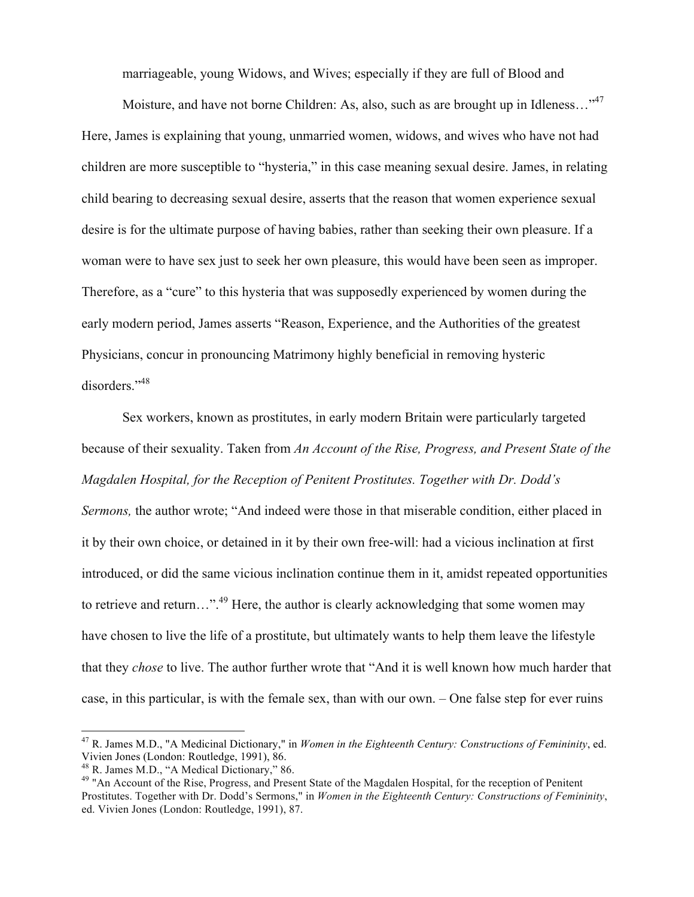marriageable, young Widows, and Wives; especially if they are full of Blood and

Moisture, and have not borne Children: As, also, such as are brought up in Idleness..."<sup>47</sup> Here, James is explaining that young, unmarried women, widows, and wives who have not had children are more susceptible to "hysteria," in this case meaning sexual desire. James, in relating child bearing to decreasing sexual desire, asserts that the reason that women experience sexual desire is for the ultimate purpose of having babies, rather than seeking their own pleasure. If a woman were to have sex just to seek her own pleasure, this would have been seen as improper. Therefore, as a "cure" to this hysteria that was supposedly experienced by women during the early modern period, James asserts "Reason, Experience, and the Authorities of the greatest Physicians, concur in pronouncing Matrimony highly beneficial in removing hysteric disorders."<sup>48</sup>

Sex workers, known as prostitutes, in early modern Britain were particularly targeted because of their sexuality. Taken from *An Account of the Rise, Progress, and Present State of the Magdalen Hospital, for the Reception of Penitent Prostitutes. Together with Dr. Dodd's Sermons,* the author wrote; "And indeed were those in that miserable condition, either placed in it by their own choice, or detained in it by their own free-will: had a vicious inclination at first introduced, or did the same vicious inclination continue them in it, amidst repeated opportunities to retrieve and return…".<sup>49</sup> Here, the author is clearly acknowledging that some women may have chosen to live the life of a prostitute, but ultimately wants to help them leave the lifestyle that they *chose* to live. The author further wrote that "And it is well known how much harder that case, in this particular, is with the female sex, than with our own. – One false step for ever ruins

 <sup>47</sup> R. James M.D., "A Medicinal Dictionary," in *Women in the Eighteenth Century: Constructions of Femininity*, ed. Vivien Jones (London: Routledge, 1991), 86.<br><sup>48</sup> R. James M.D., "A Medical Dictionary," 86.

<sup>&</sup>lt;sup>49</sup> "An Account of the Rise, Progress, and Present State of the Magdalen Hospital, for the reception of Penitent Prostitutes. Together with Dr. Dodd's Sermons," in *Women in the Eighteenth Century: Constructions of Femininity*, ed. Vivien Jones (London: Routledge, 1991), 87.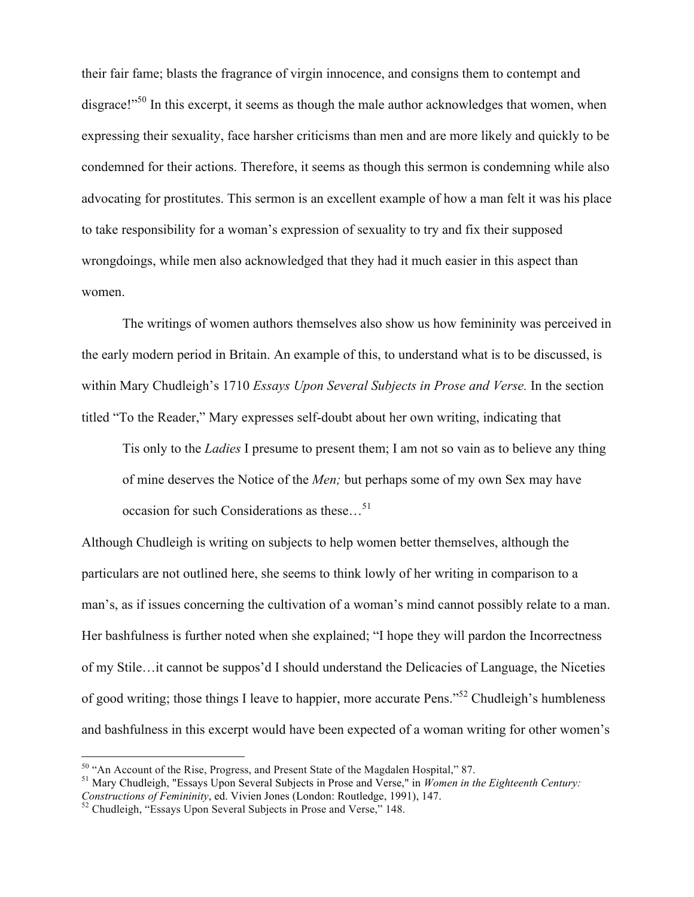their fair fame; blasts the fragrance of virgin innocence, and consigns them to contempt and disgrace!"<sup>50</sup> In this excerpt, it seems as though the male author acknowledges that women, when expressing their sexuality, face harsher criticisms than men and are more likely and quickly to be condemned for their actions. Therefore, it seems as though this sermon is condemning while also advocating for prostitutes. This sermon is an excellent example of how a man felt it was his place to take responsibility for a woman's expression of sexuality to try and fix their supposed wrongdoings, while men also acknowledged that they had it much easier in this aspect than women.

The writings of women authors themselves also show us how femininity was perceived in the early modern period in Britain. An example of this, to understand what is to be discussed, is within Mary Chudleigh's 1710 *Essays Upon Several Subjects in Prose and Verse.* In the section titled "To the Reader," Mary expresses self-doubt about her own writing, indicating that

Tis only to the *Ladies* I presume to present them; I am not so vain as to believe any thing of mine deserves the Notice of the *Men;* but perhaps some of my own Sex may have occasion for such Considerations as these...<sup>51</sup>

Although Chudleigh is writing on subjects to help women better themselves, although the particulars are not outlined here, she seems to think lowly of her writing in comparison to a man's, as if issues concerning the cultivation of a woman's mind cannot possibly relate to a man. Her bashfulness is further noted when she explained; "I hope they will pardon the Incorrectness of my Stile…it cannot be suppos'd I should understand the Delicacies of Language, the Niceties of good writing; those things I leave to happier, more accurate Pens."52 Chudleigh's humbleness and bashfulness in this excerpt would have been expected of a woman writing for other women's

<sup>&</sup>lt;sup>50</sup> "An Account of the Rise, Progress, and Present State of the Magdalen Hospital," 87.<br><sup>51</sup> Mary Chudleigh, "Essays Upon Several Subjects in Prose and Verse," in *Women in the Eighteenth Century: Constructions of Feminin* 

<sup>&</sup>lt;sup>52</sup> Chudleigh, "Essays Upon Several Subjects in Prose and Verse," 148.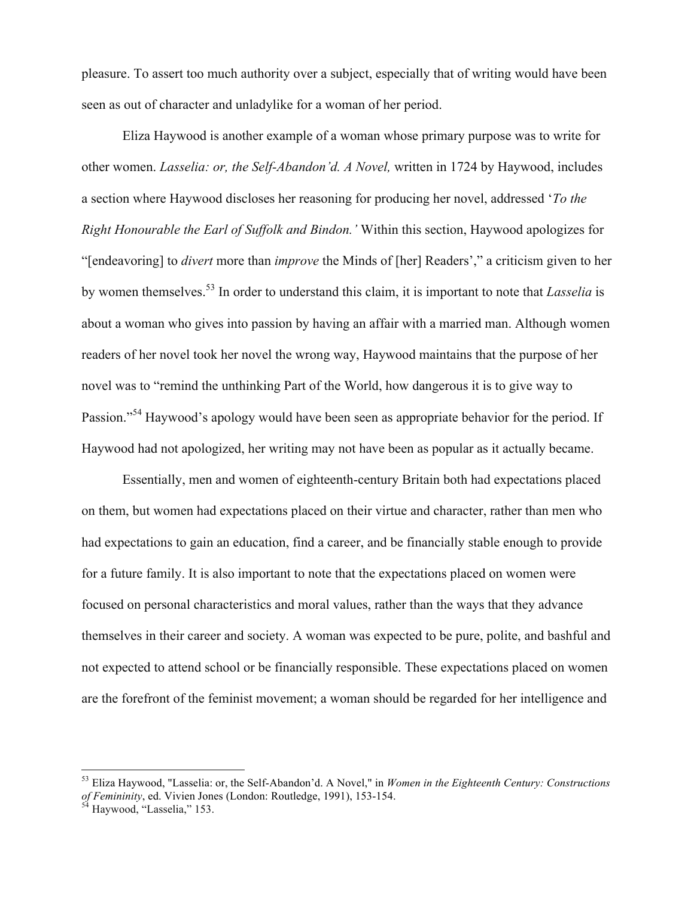pleasure. To assert too much authority over a subject, especially that of writing would have been seen as out of character and unladylike for a woman of her period.

Eliza Haywood is another example of a woman whose primary purpose was to write for other women. *Lasselia: or, the Self-Abandon'd. A Novel,* written in 1724 by Haywood, includes a section where Haywood discloses her reasoning for producing her novel, addressed '*To the Right Honourable the Earl of Suffolk and Bindon.'* Within this section, Haywood apologizes for "[endeavoring] to *divert* more than *improve* the Minds of [her] Readers'," a criticism given to her by women themselves.<sup>53</sup> In order to understand this claim, it is important to note that *Lasselia* is about a woman who gives into passion by having an affair with a married man. Although women readers of her novel took her novel the wrong way, Haywood maintains that the purpose of her novel was to "remind the unthinking Part of the World, how dangerous it is to give way to Passion."<sup>54</sup> Haywood's apology would have been seen as appropriate behavior for the period. If Haywood had not apologized, her writing may not have been as popular as it actually became.

Essentially, men and women of eighteenth-century Britain both had expectations placed on them, but women had expectations placed on their virtue and character, rather than men who had expectations to gain an education, find a career, and be financially stable enough to provide for a future family. It is also important to note that the expectations placed on women were focused on personal characteristics and moral values, rather than the ways that they advance themselves in their career and society. A woman was expected to be pure, polite, and bashful and not expected to attend school or be financially responsible. These expectations placed on women are the forefront of the feminist movement; a woman should be regarded for her intelligence and

 <sup>53</sup> Eliza Haywood, "Lasselia: or, the Self-Abandon'd. A Novel," in *Women in the Eighteenth Century: Constructions of Femininity*, ed. Vivien Jones (London: Routledge, 1991), 153-154.<br><sup>54</sup> Haywood, "Lasselia," 153.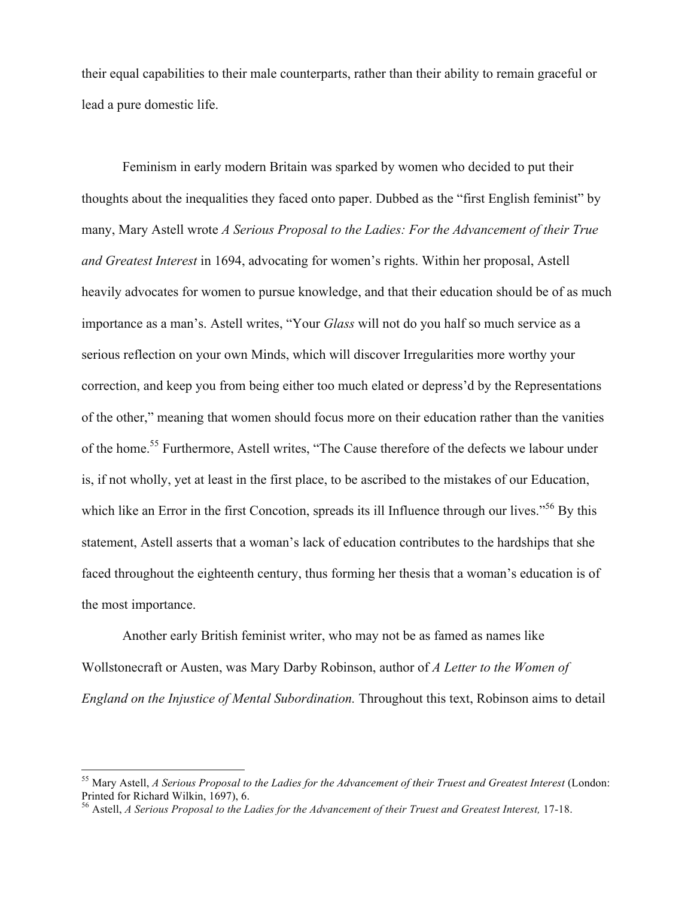their equal capabilities to their male counterparts, rather than their ability to remain graceful or lead a pure domestic life.

Feminism in early modern Britain was sparked by women who decided to put their thoughts about the inequalities they faced onto paper. Dubbed as the "first English feminist" by many, Mary Astell wrote *A Serious Proposal to the Ladies: For the Advancement of their True and Greatest Interest* in 1694, advocating for women's rights. Within her proposal, Astell heavily advocates for women to pursue knowledge, and that their education should be of as much importance as a man's. Astell writes, "Your *Glass* will not do you half so much service as a serious reflection on your own Minds, which will discover Irregularities more worthy your correction, and keep you from being either too much elated or depress'd by the Representations of the other," meaning that women should focus more on their education rather than the vanities of the home. <sup>55</sup> Furthermore, Astell writes, "The Cause therefore of the defects we labour under is, if not wholly, yet at least in the first place, to be ascribed to the mistakes of our Education, which like an Error in the first Concotion, spreads its ill Influence through our lives."<sup>56</sup> By this statement, Astell asserts that a woman's lack of education contributes to the hardships that she faced throughout the eighteenth century, thus forming her thesis that a woman's education is of the most importance.

Another early British feminist writer, who may not be as famed as names like Wollstonecraft or Austen, was Mary Darby Robinson, author of *A Letter to the Women of England on the Injustice of Mental Subordination.* Throughout this text, Robinson aims to detail

 <sup>55</sup> Mary Astell, *A Serious Proposal to the Ladies for the Advancement of their Truest and Greatest Interest* (London: Printed for Richard Wilkin, 1697), 6.

<sup>56</sup> Astell, *A Serious Proposal to the Ladies for the Advancement of their Truest and Greatest Interest,* 17-18.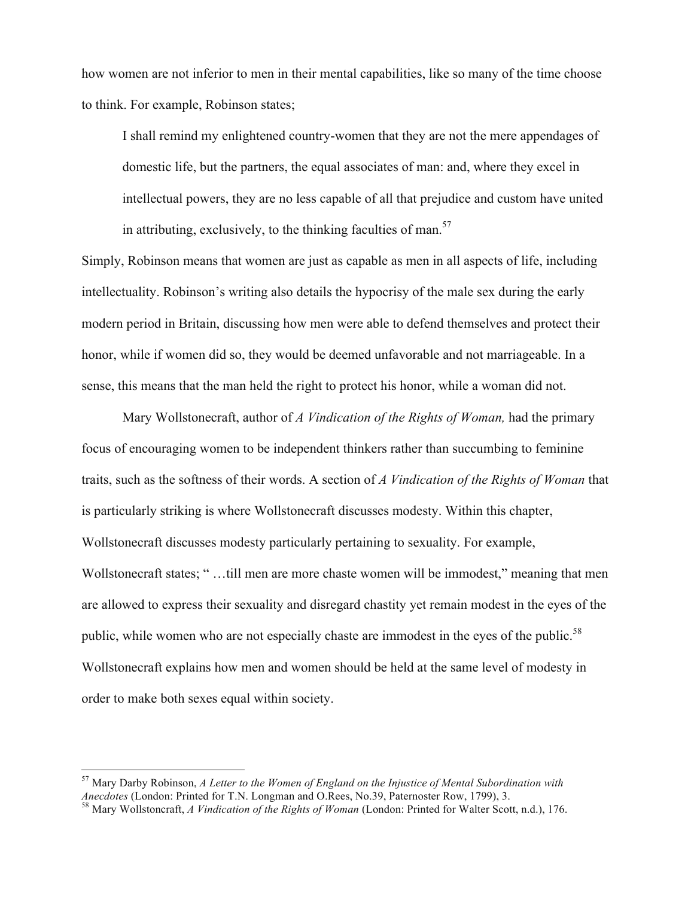how women are not inferior to men in their mental capabilities, like so many of the time choose to think. For example, Robinson states;

I shall remind my enlightened country-women that they are not the mere appendages of domestic life, but the partners, the equal associates of man: and, where they excel in intellectual powers, they are no less capable of all that prejudice and custom have united in attributing, exclusively, to the thinking faculties of man.<sup>57</sup>

Simply, Robinson means that women are just as capable as men in all aspects of life, including intellectuality. Robinson's writing also details the hypocrisy of the male sex during the early modern period in Britain, discussing how men were able to defend themselves and protect their honor, while if women did so, they would be deemed unfavorable and not marriageable. In a sense, this means that the man held the right to protect his honor, while a woman did not.

Mary Wollstonecraft, author of *A Vindication of the Rights of Woman,* had the primary focus of encouraging women to be independent thinkers rather than succumbing to feminine traits, such as the softness of their words. A section of *A Vindication of the Rights of Woman* that is particularly striking is where Wollstonecraft discusses modesty. Within this chapter, Wollstonecraft discusses modesty particularly pertaining to sexuality. For example, Wollstonecraft states; " …till men are more chaste women will be immodest," meaning that men are allowed to express their sexuality and disregard chastity yet remain modest in the eyes of the public, while women who are not especially chaste are immodest in the eyes of the public.<sup>58</sup> Wollstonecraft explains how men and women should be held at the same level of modesty in order to make both sexes equal within society.

<sup>&</sup>lt;sup>57</sup> Mary Darby Robinson, *A Letter to the Women of England on the Injustice of Mental Subordination with Anecdotes (London: Printed for T.N. Longman and O.Rees, No.39, Paternoster Row, 1799). 3.* 

<sup>&</sup>lt;sup>58</sup> Mary Wollstoncraft, *A Vindication of the Rights of Woman* (London: Printed for Walter Scott, n.d.), 176.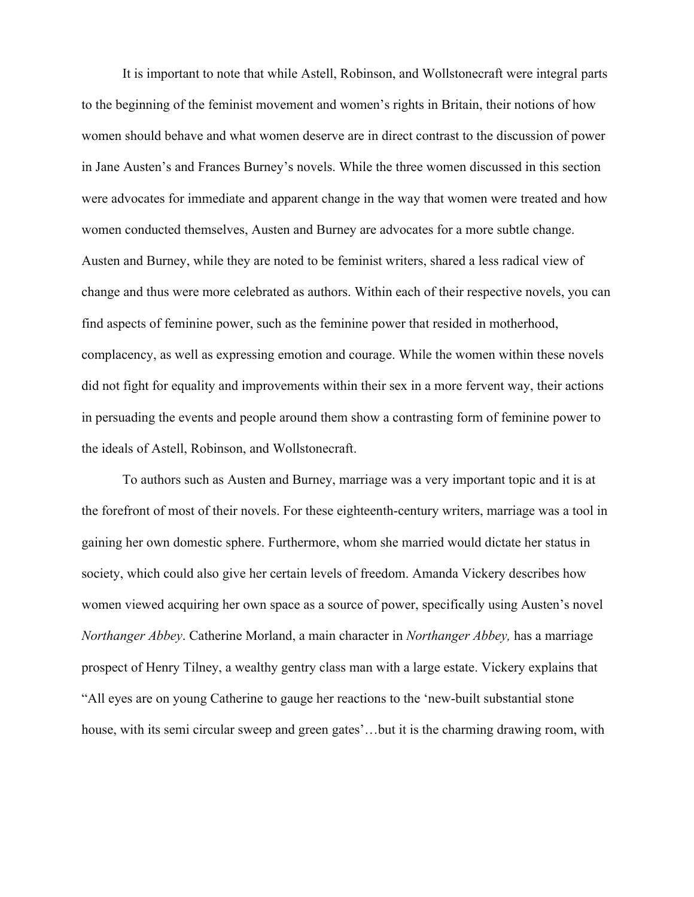It is important to note that while Astell, Robinson, and Wollstonecraft were integral parts to the beginning of the feminist movement and women's rights in Britain, their notions of how women should behave and what women deserve are in direct contrast to the discussion of power in Jane Austen's and Frances Burney's novels. While the three women discussed in this section were advocates for immediate and apparent change in the way that women were treated and how women conducted themselves, Austen and Burney are advocates for a more subtle change. Austen and Burney, while they are noted to be feminist writers, shared a less radical view of change and thus were more celebrated as authors. Within each of their respective novels, you can find aspects of feminine power, such as the feminine power that resided in motherhood, complacency, as well as expressing emotion and courage. While the women within these novels did not fight for equality and improvements within their sex in a more fervent way, their actions in persuading the events and people around them show a contrasting form of feminine power to the ideals of Astell, Robinson, and Wollstonecraft.

To authors such as Austen and Burney, marriage was a very important topic and it is at the forefront of most of their novels. For these eighteenth-century writers, marriage was a tool in gaining her own domestic sphere. Furthermore, whom she married would dictate her status in society, which could also give her certain levels of freedom. Amanda Vickery describes how women viewed acquiring her own space as a source of power, specifically using Austen's novel *Northanger Abbey*. Catherine Morland, a main character in *Northanger Abbey,* has a marriage prospect of Henry Tilney, a wealthy gentry class man with a large estate. Vickery explains that "All eyes are on young Catherine to gauge her reactions to the 'new-built substantial stone house, with its semi circular sweep and green gates'...but it is the charming drawing room, with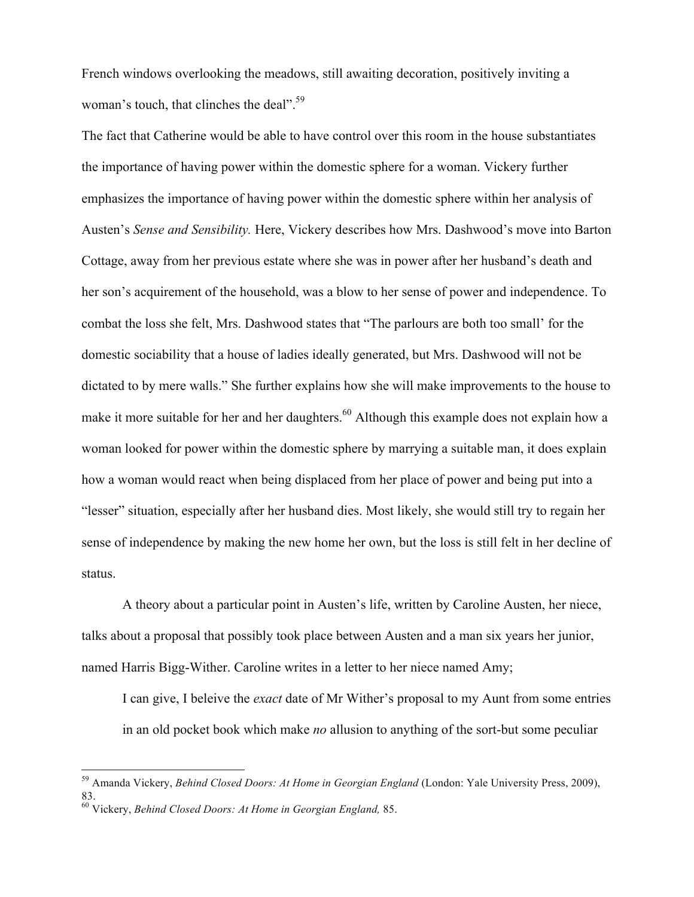French windows overlooking the meadows, still awaiting decoration, positively inviting a woman's touch, that clinches the deal".<sup>59</sup>

The fact that Catherine would be able to have control over this room in the house substantiates the importance of having power within the domestic sphere for a woman. Vickery further emphasizes the importance of having power within the domestic sphere within her analysis of Austen's *Sense and Sensibility.* Here, Vickery describes how Mrs. Dashwood's move into Barton Cottage, away from her previous estate where she was in power after her husband's death and her son's acquirement of the household, was a blow to her sense of power and independence. To combat the loss she felt, Mrs. Dashwood states that "The parlours are both too small' for the domestic sociability that a house of ladies ideally generated, but Mrs. Dashwood will not be dictated to by mere walls." She further explains how she will make improvements to the house to make it more suitable for her and her daughters.<sup>60</sup> Although this example does not explain how a woman looked for power within the domestic sphere by marrying a suitable man, it does explain how a woman would react when being displaced from her place of power and being put into a "lesser" situation, especially after her husband dies. Most likely, she would still try to regain her sense of independence by making the new home her own, but the loss is still felt in her decline of status.

A theory about a particular point in Austen's life, written by Caroline Austen, her niece, talks about a proposal that possibly took place between Austen and a man six years her junior, named Harris Bigg-Wither. Caroline writes in a letter to her niece named Amy;

I can give, I beleive the *exact* date of Mr Wither's proposal to my Aunt from some entries in an old pocket book which make *no* allusion to anything of the sort-but some peculiar

 <sup>59</sup> Amanda Vickery, *Behind Closed Doors: At Home in Georgian England* (London: Yale University Press, 2009), 83.

<sup>60</sup> Vickery, *Behind Closed Doors: At Home in Georgian England,* 85.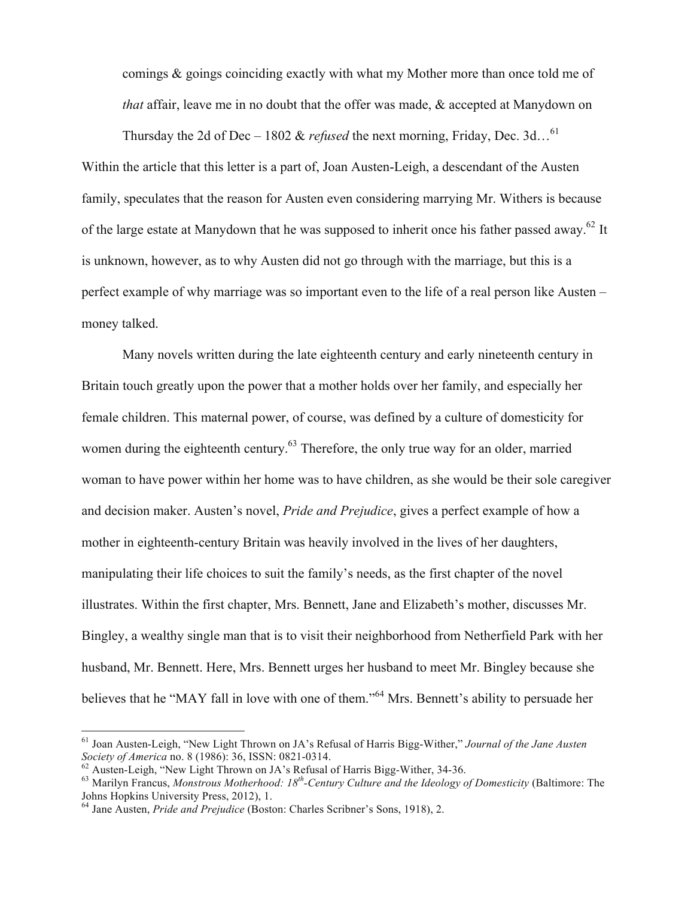comings & goings coinciding exactly with what my Mother more than once told me of *that* affair, leave me in no doubt that the offer was made, & accepted at Manydown on

Thursday the 2d of Dec – 1802 & *refused* the next morning, Friday, Dec. 3d…61 Within the article that this letter is a part of, Joan Austen-Leigh, a descendant of the Austen family, speculates that the reason for Austen even considering marrying Mr. Withers is because of the large estate at Manydown that he was supposed to inherit once his father passed away.<sup>62</sup> It is unknown, however, as to why Austen did not go through with the marriage, but this is a perfect example of why marriage was so important even to the life of a real person like Austen – money talked.

Many novels written during the late eighteenth century and early nineteenth century in Britain touch greatly upon the power that a mother holds over her family, and especially her female children. This maternal power, of course, was defined by a culture of domesticity for women during the eighteenth century.<sup>63</sup> Therefore, the only true way for an older, married woman to have power within her home was to have children, as she would be their sole caregiver and decision maker. Austen's novel, *Pride and Prejudice*, gives a perfect example of how a mother in eighteenth-century Britain was heavily involved in the lives of her daughters, manipulating their life choices to suit the family's needs, as the first chapter of the novel illustrates. Within the first chapter, Mrs. Bennett, Jane and Elizabeth's mother, discusses Mr. Bingley, a wealthy single man that is to visit their neighborhood from Netherfield Park with her husband, Mr. Bennett. Here, Mrs. Bennett urges her husband to meet Mr. Bingley because she believes that he "MAY fall in love with one of them."<sup>64</sup> Mrs. Bennett's ability to persuade her

 <sup>61</sup> Joan Austen-Leigh, "New Light Thrown on JA's Refusal of Harris Bigg-Wither," *Journal of the Jane Austen* 

<sup>&</sup>lt;sup>62</sup> Austen-Leigh, "New Light Thrown on JA's Refusal of Harris Bigg-Wither, 34-36.<br><sup>63</sup> Marilyn Francus, *Monstrous Motherhood: 18<sup>th</sup>-Century Culture and the Ideology of Domesticity (Baltimore: The* Johns Hopkins University Press, 2012), 1.

<sup>64</sup> Jane Austen, *Pride and Prejudice* (Boston: Charles Scribner's Sons, 1918), 2.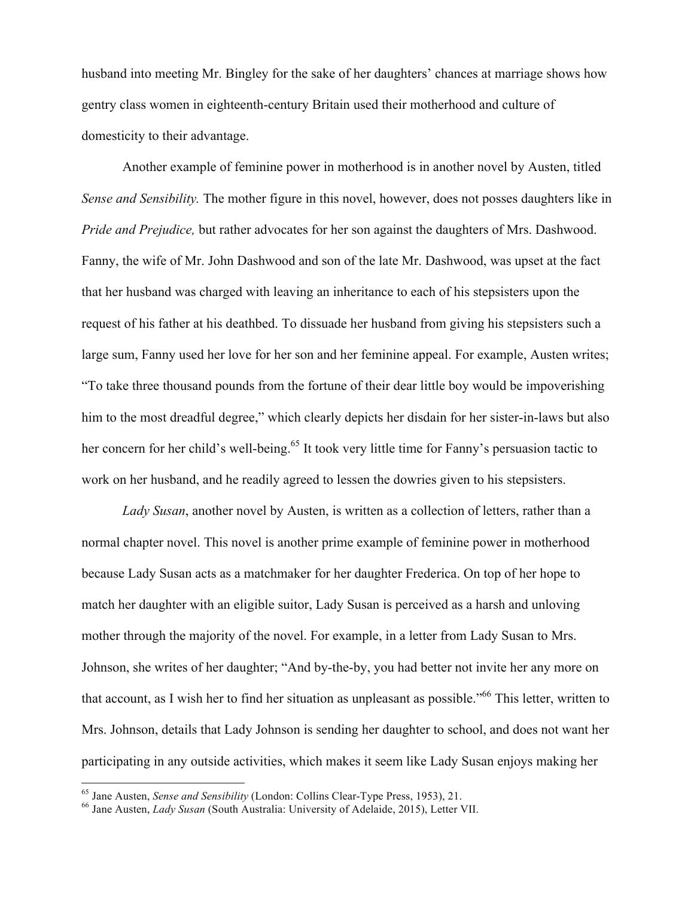husband into meeting Mr. Bingley for the sake of her daughters' chances at marriage shows how gentry class women in eighteenth-century Britain used their motherhood and culture of domesticity to their advantage.

Another example of feminine power in motherhood is in another novel by Austen, titled *Sense and Sensibility.* The mother figure in this novel, however, does not posses daughters like in *Pride and Prejudice,* but rather advocates for her son against the daughters of Mrs. Dashwood. Fanny, the wife of Mr. John Dashwood and son of the late Mr. Dashwood, was upset at the fact that her husband was charged with leaving an inheritance to each of his stepsisters upon the request of his father at his deathbed. To dissuade her husband from giving his stepsisters such a large sum, Fanny used her love for her son and her feminine appeal. For example, Austen writes; "To take three thousand pounds from the fortune of their dear little boy would be impoverishing him to the most dreadful degree," which clearly depicts her disdain for her sister-in-laws but also her concern for her child's well-being.<sup>65</sup> It took very little time for Fanny's persuasion tactic to work on her husband, and he readily agreed to lessen the dowries given to his stepsisters.

*Lady Susan*, another novel by Austen, is written as a collection of letters, rather than a normal chapter novel. This novel is another prime example of feminine power in motherhood because Lady Susan acts as a matchmaker for her daughter Frederica. On top of her hope to match her daughter with an eligible suitor, Lady Susan is perceived as a harsh and unloving mother through the majority of the novel. For example, in a letter from Lady Susan to Mrs. Johnson, she writes of her daughter; "And by-the-by, you had better not invite her any more on that account, as I wish her to find her situation as unpleasant as possible."66 This letter, written to Mrs. Johnson, details that Lady Johnson is sending her daughter to school, and does not want her participating in any outside activities, which makes it seem like Lady Susan enjoys making her

<sup>65</sup> Jane Austen, *Sense and Sensibility* (London: Collins Clear-Type Press, 1953), 21. <sup>66</sup> Jane Austen, *Lady Susan* (South Australia: University of Adelaide, 2015), Letter VII.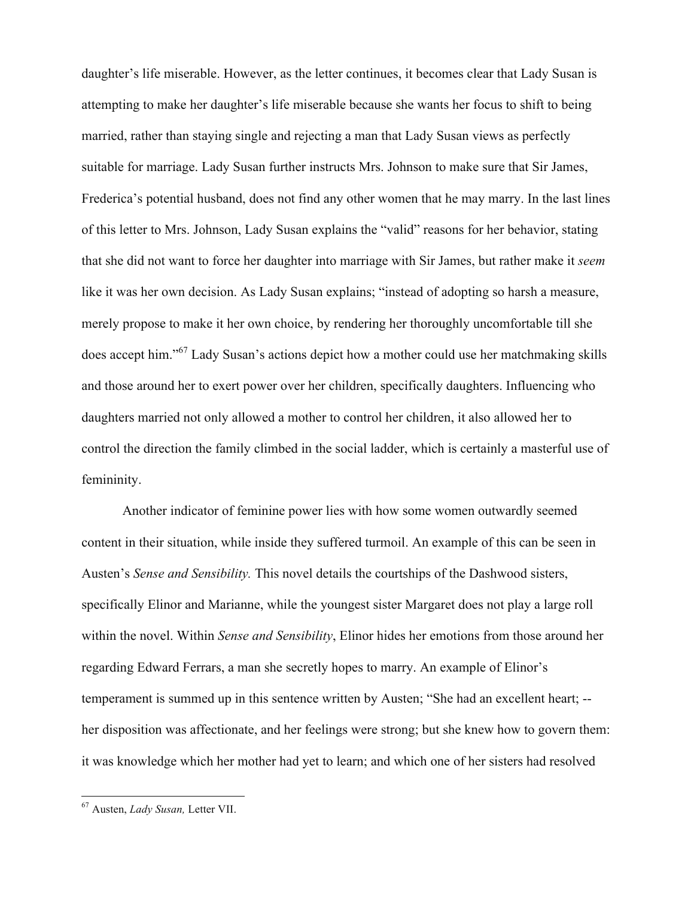daughter's life miserable. However, as the letter continues, it becomes clear that Lady Susan is attempting to make her daughter's life miserable because she wants her focus to shift to being married, rather than staying single and rejecting a man that Lady Susan views as perfectly suitable for marriage. Lady Susan further instructs Mrs. Johnson to make sure that Sir James, Frederica's potential husband, does not find any other women that he may marry. In the last lines of this letter to Mrs. Johnson, Lady Susan explains the "valid" reasons for her behavior, stating that she did not want to force her daughter into marriage with Sir James, but rather make it *seem*  like it was her own decision. As Lady Susan explains; "instead of adopting so harsh a measure, merely propose to make it her own choice, by rendering her thoroughly uncomfortable till she does accept him."<sup>67</sup> Lady Susan's actions depict how a mother could use her matchmaking skills and those around her to exert power over her children, specifically daughters. Influencing who daughters married not only allowed a mother to control her children, it also allowed her to control the direction the family climbed in the social ladder, which is certainly a masterful use of femininity.

Another indicator of feminine power lies with how some women outwardly seemed content in their situation, while inside they suffered turmoil. An example of this can be seen in Austen's *Sense and Sensibility.* This novel details the courtships of the Dashwood sisters, specifically Elinor and Marianne, while the youngest sister Margaret does not play a large roll within the novel. Within *Sense and Sensibility*, Elinor hides her emotions from those around her regarding Edward Ferrars, a man she secretly hopes to marry. An example of Elinor's temperament is summed up in this sentence written by Austen; "She had an excellent heart; - her disposition was affectionate, and her feelings were strong; but she knew how to govern them: it was knowledge which her mother had yet to learn; and which one of her sisters had resolved

 <sup>67</sup> Austen, *Lady Susan,* Letter VII.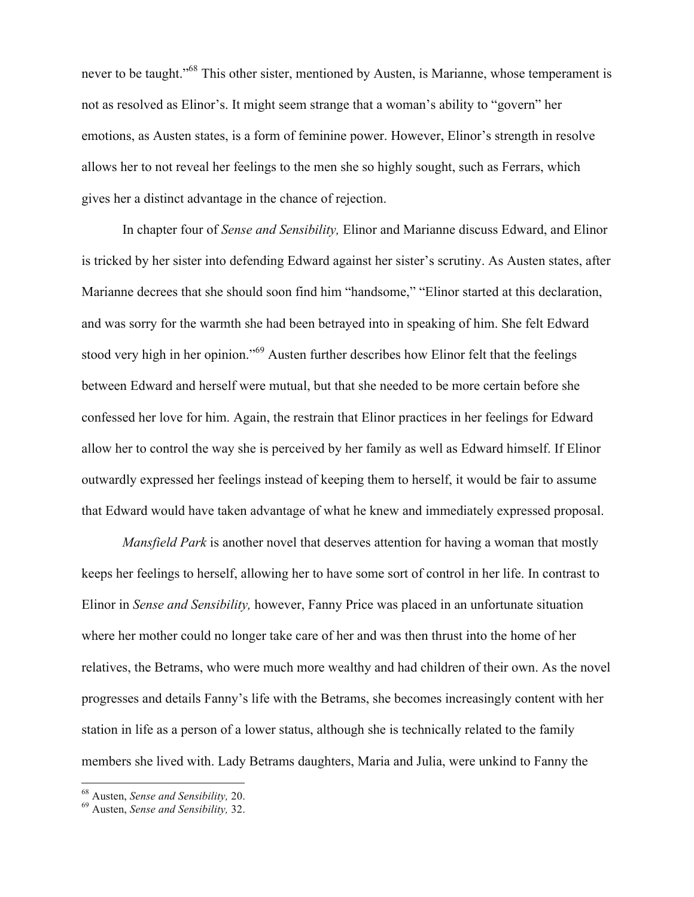never to be taught."<sup>68</sup> This other sister, mentioned by Austen, is Marianne, whose temperament is not as resolved as Elinor's. It might seem strange that a woman's ability to "govern" her emotions, as Austen states, is a form of feminine power. However, Elinor's strength in resolve allows her to not reveal her feelings to the men she so highly sought, such as Ferrars, which gives her a distinct advantage in the chance of rejection.

In chapter four of *Sense and Sensibility,* Elinor and Marianne discuss Edward, and Elinor is tricked by her sister into defending Edward against her sister's scrutiny. As Austen states, after Marianne decrees that she should soon find him "handsome," "Elinor started at this declaration, and was sorry for the warmth she had been betrayed into in speaking of him. She felt Edward stood very high in her opinion."<sup>69</sup> Austen further describes how Elinor felt that the feelings between Edward and herself were mutual, but that she needed to be more certain before she confessed her love for him. Again, the restrain that Elinor practices in her feelings for Edward allow her to control the way she is perceived by her family as well as Edward himself. If Elinor outwardly expressed her feelings instead of keeping them to herself, it would be fair to assume that Edward would have taken advantage of what he knew and immediately expressed proposal.

*Mansfield Park* is another novel that deserves attention for having a woman that mostly keeps her feelings to herself, allowing her to have some sort of control in her life. In contrast to Elinor in *Sense and Sensibility,* however, Fanny Price was placed in an unfortunate situation where her mother could no longer take care of her and was then thrust into the home of her relatives, the Betrams, who were much more wealthy and had children of their own. As the novel progresses and details Fanny's life with the Betrams, she becomes increasingly content with her station in life as a person of a lower status, although she is technically related to the family members she lived with. Lady Betrams daughters, Maria and Julia, were unkind to Fanny the

<sup>68</sup> Austen, *Sense and Sensibility,* 20. <sup>69</sup> Austen, *Sense and Sensibility,* 32.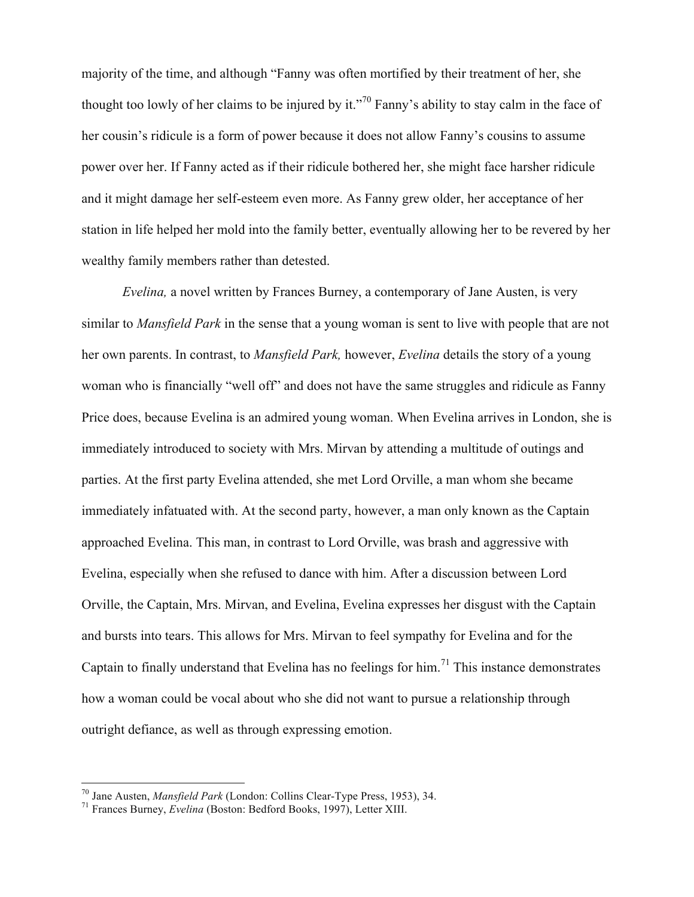majority of the time, and although "Fanny was often mortified by their treatment of her, she thought too lowly of her claims to be injured by it."<sup>70</sup> Fanny's ability to stay calm in the face of her cousin's ridicule is a form of power because it does not allow Fanny's cousins to assume power over her. If Fanny acted as if their ridicule bothered her, she might face harsher ridicule and it might damage her self-esteem even more. As Fanny grew older, her acceptance of her station in life helped her mold into the family better, eventually allowing her to be revered by her wealthy family members rather than detested.

*Evelina,* a novel written by Frances Burney, a contemporary of Jane Austen, is very similar to *Mansfield Park* in the sense that a young woman is sent to live with people that are not her own parents. In contrast, to *Mansfield Park,* however, *Evelina* details the story of a young woman who is financially "well off" and does not have the same struggles and ridicule as Fanny Price does, because Evelina is an admired young woman. When Evelina arrives in London, she is immediately introduced to society with Mrs. Mirvan by attending a multitude of outings and parties. At the first party Evelina attended, she met Lord Orville, a man whom she became immediately infatuated with. At the second party, however, a man only known as the Captain approached Evelina. This man, in contrast to Lord Orville, was brash and aggressive with Evelina, especially when she refused to dance with him. After a discussion between Lord Orville, the Captain, Mrs. Mirvan, and Evelina, Evelina expresses her disgust with the Captain and bursts into tears. This allows for Mrs. Mirvan to feel sympathy for Evelina and for the Captain to finally understand that Evelina has no feelings for him.<sup>71</sup> This instance demonstrates how a woman could be vocal about who she did not want to pursue a relationship through outright defiance, as well as through expressing emotion.

<sup>70</sup> Jane Austen, *Mansfield Park* (London: Collins Clear-Type Press, 1953), 34. <sup>71</sup> Frances Burney, *Evelina* (Boston: Bedford Books, 1997), Letter XIII.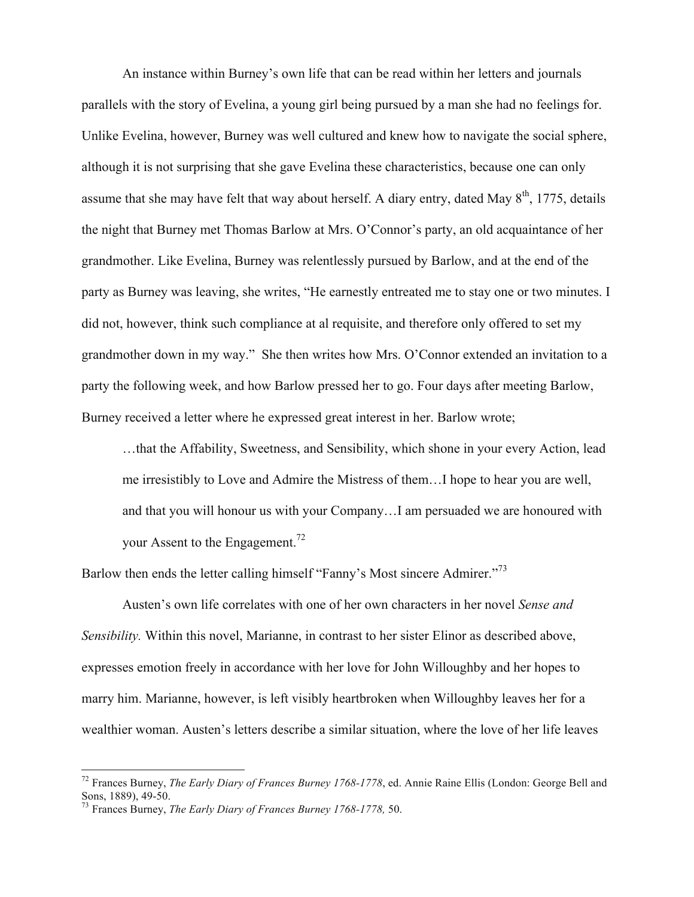An instance within Burney's own life that can be read within her letters and journals parallels with the story of Evelina, a young girl being pursued by a man she had no feelings for. Unlike Evelina, however, Burney was well cultured and knew how to navigate the social sphere, although it is not surprising that she gave Evelina these characteristics, because one can only assume that she may have felt that way about herself. A diary entry, dated May  $8<sup>th</sup>$ , 1775, details the night that Burney met Thomas Barlow at Mrs. O'Connor's party, an old acquaintance of her grandmother. Like Evelina, Burney was relentlessly pursued by Barlow, and at the end of the party as Burney was leaving, she writes, "He earnestly entreated me to stay one or two minutes. I did not, however, think such compliance at al requisite, and therefore only offered to set my grandmother down in my way." She then writes how Mrs. O'Connor extended an invitation to a party the following week, and how Barlow pressed her to go. Four days after meeting Barlow, Burney received a letter where he expressed great interest in her. Barlow wrote;

…that the Affability, Sweetness, and Sensibility, which shone in your every Action, lead me irresistibly to Love and Admire the Mistress of them…I hope to hear you are well, and that you will honour us with your Company…I am persuaded we are honoured with your Assent to the Engagement.<sup>72</sup>

Barlow then ends the letter calling himself "Fanny's Most sincere Admirer."<sup>73</sup>

Austen's own life correlates with one of her own characters in her novel *Sense and Sensibility.* Within this novel, Marianne, in contrast to her sister Elinor as described above, expresses emotion freely in accordance with her love for John Willoughby and her hopes to marry him. Marianne, however, is left visibly heartbroken when Willoughby leaves her for a wealthier woman. Austen's letters describe a similar situation, where the love of her life leaves

 <sup>72</sup> Frances Burney, *The Early Diary of Frances Burney 1768-1778*, ed. Annie Raine Ellis (London: George Bell and

<sup>&</sup>lt;sup>73</sup> Frances Burney, *The Early Diary of Frances Burney 1768-1778*, 50.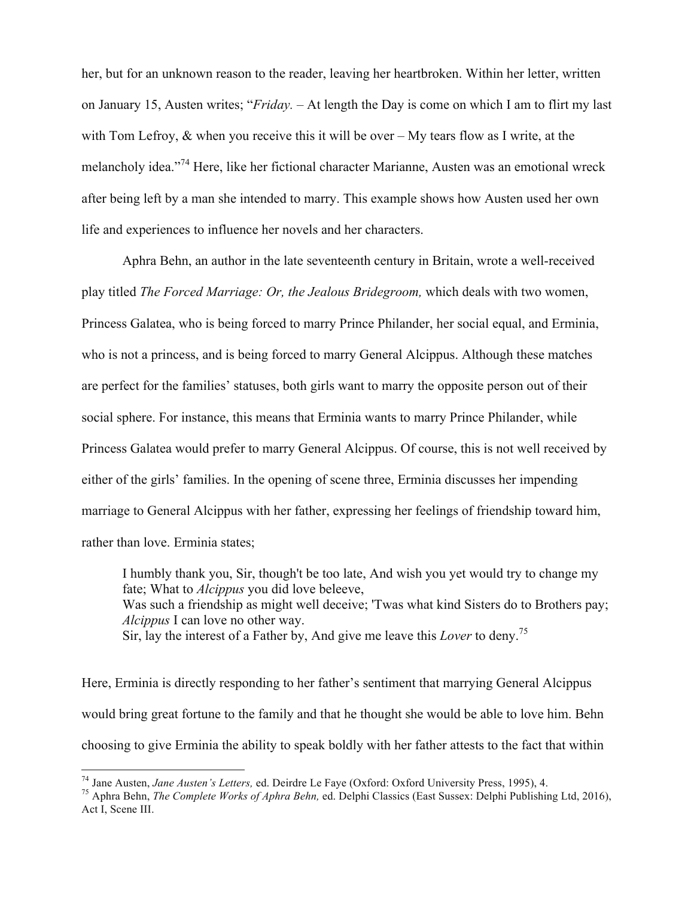her, but for an unknown reason to the reader, leaving her heartbroken. Within her letter, written on January 15, Austen writes; "*Friday. –* At length the Day is come on which I am to flirt my last with Tom Lefroy,  $\&$  when you receive this it will be over – My tears flow as I write, at the melancholy idea."<sup>74</sup> Here, like her fictional character Marianne, Austen was an emotional wreck after being left by a man she intended to marry. This example shows how Austen used her own life and experiences to influence her novels and her characters.

Aphra Behn, an author in the late seventeenth century in Britain, wrote a well-received play titled *The Forced Marriage: Or, the Jealous Bridegroom,* which deals with two women, Princess Galatea, who is being forced to marry Prince Philander, her social equal, and Erminia, who is not a princess, and is being forced to marry General Alcippus. Although these matches are perfect for the families' statuses, both girls want to marry the opposite person out of their social sphere. For instance, this means that Erminia wants to marry Prince Philander, while Princess Galatea would prefer to marry General Alcippus. Of course, this is not well received by either of the girls' families. In the opening of scene three, Erminia discusses her impending marriage to General Alcippus with her father, expressing her feelings of friendship toward him, rather than love. Erminia states;

I humbly thank you, Sir, though't be too late, And wish you yet would try to change my fate; What to *Alcippus* you did love beleeve, Was such a friendship as might well deceive; 'Twas what kind Sisters do to Brothers pay; *Alcippus* I can love no other way. Sir, lay the interest of a Father by, And give me leave this *Lover* to deny.<sup>75</sup>

Here, Erminia is directly responding to her father's sentiment that marrying General Alcippus would bring great fortune to the family and that he thought she would be able to love him. Behn choosing to give Erminia the ability to speak boldly with her father attests to the fact that within

<sup>&</sup>lt;sup>74</sup> Jane Austen, *Jane Austen's Letters*, ed. Deirdre Le Faye (Oxford: Oxford University Press, 1995), 4.<br><sup>75</sup> Aphra Behn, *The Complete Works of Aphra Behn*, ed. Delphi Classics (East Sussex: Delphi Publishing Ltd, 2016 Act I, Scene III.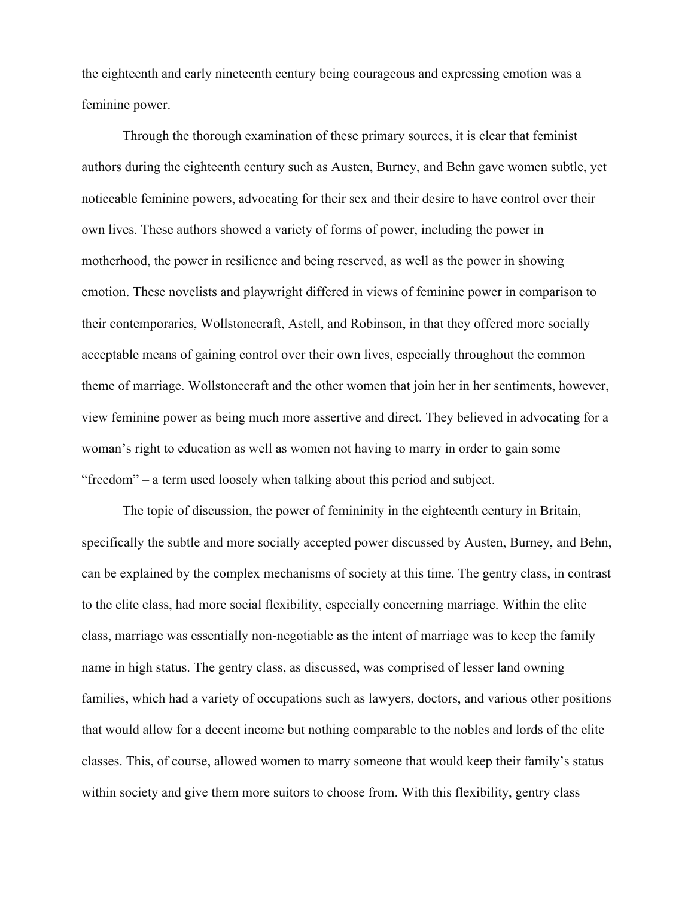the eighteenth and early nineteenth century being courageous and expressing emotion was a feminine power.

Through the thorough examination of these primary sources, it is clear that feminist authors during the eighteenth century such as Austen, Burney, and Behn gave women subtle, yet noticeable feminine powers, advocating for their sex and their desire to have control over their own lives. These authors showed a variety of forms of power, including the power in motherhood, the power in resilience and being reserved, as well as the power in showing emotion. These novelists and playwright differed in views of feminine power in comparison to their contemporaries, Wollstonecraft, Astell, and Robinson, in that they offered more socially acceptable means of gaining control over their own lives, especially throughout the common theme of marriage. Wollstonecraft and the other women that join her in her sentiments, however, view feminine power as being much more assertive and direct. They believed in advocating for a woman's right to education as well as women not having to marry in order to gain some "freedom" – a term used loosely when talking about this period and subject.

The topic of discussion, the power of femininity in the eighteenth century in Britain, specifically the subtle and more socially accepted power discussed by Austen, Burney, and Behn, can be explained by the complex mechanisms of society at this time. The gentry class, in contrast to the elite class, had more social flexibility, especially concerning marriage. Within the elite class, marriage was essentially non-negotiable as the intent of marriage was to keep the family name in high status. The gentry class, as discussed, was comprised of lesser land owning families, which had a variety of occupations such as lawyers, doctors, and various other positions that would allow for a decent income but nothing comparable to the nobles and lords of the elite classes. This, of course, allowed women to marry someone that would keep their family's status within society and give them more suitors to choose from. With this flexibility, gentry class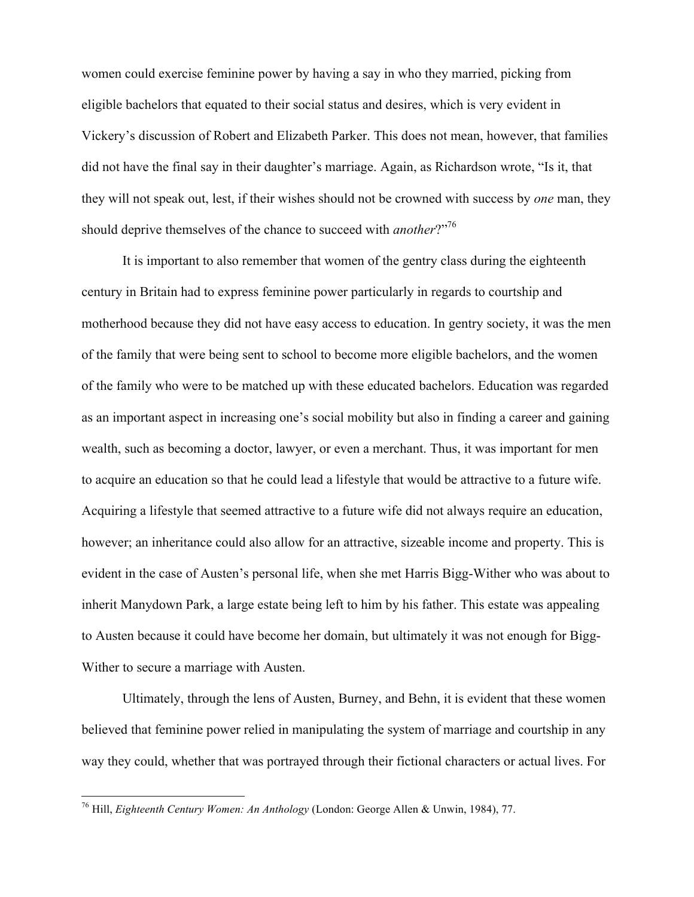women could exercise feminine power by having a say in who they married, picking from eligible bachelors that equated to their social status and desires, which is very evident in Vickery's discussion of Robert and Elizabeth Parker. This does not mean, however, that families did not have the final say in their daughter's marriage. Again, as Richardson wrote, "Is it, that they will not speak out, lest, if their wishes should not be crowned with success by *one* man, they should deprive themselves of the chance to succeed with *another*?"<sup>76</sup>

It is important to also remember that women of the gentry class during the eighteenth century in Britain had to express feminine power particularly in regards to courtship and motherhood because they did not have easy access to education. In gentry society, it was the men of the family that were being sent to school to become more eligible bachelors, and the women of the family who were to be matched up with these educated bachelors. Education was regarded as an important aspect in increasing one's social mobility but also in finding a career and gaining wealth, such as becoming a doctor, lawyer, or even a merchant. Thus, it was important for men to acquire an education so that he could lead a lifestyle that would be attractive to a future wife. Acquiring a lifestyle that seemed attractive to a future wife did not always require an education, however; an inheritance could also allow for an attractive, sizeable income and property. This is evident in the case of Austen's personal life, when she met Harris Bigg-Wither who was about to inherit Manydown Park, a large estate being left to him by his father. This estate was appealing to Austen because it could have become her domain, but ultimately it was not enough for Bigg-Wither to secure a marriage with Austen.

Ultimately, through the lens of Austen, Burney, and Behn, it is evident that these women believed that feminine power relied in manipulating the system of marriage and courtship in any way they could, whether that was portrayed through their fictional characters or actual lives. For

 <sup>76</sup> Hill, *Eighteenth Century Women: An Anthology* (London: George Allen & Unwin, 1984), 77.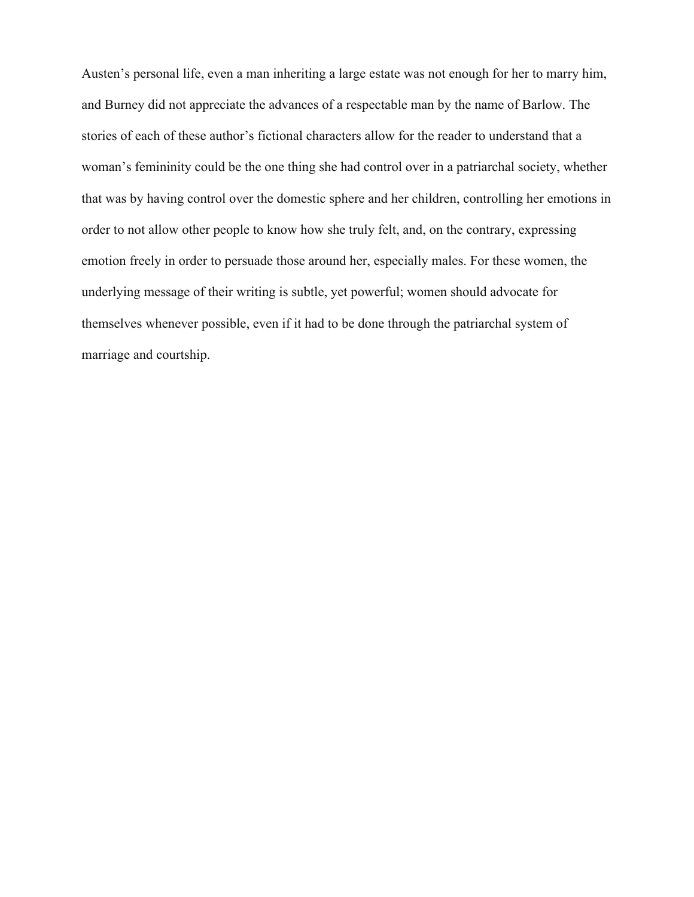Austen's personal life, even a man inheriting a large estate was not enough for her to marry him, and Burney did not appreciate the advances of a respectable man by the name of Barlow. The stories of each of these author's fictional characters allow for the reader to understand that a woman's femininity could be the one thing she had control over in a patriarchal society, whether that was by having control over the domestic sphere and her children, controlling her emotions in order to not allow other people to know how she truly felt, and, on the contrary, expressing emotion freely in order to persuade those around her, especially males. For these women, the underlying message of their writing is subtle, yet powerful; women should advocate for themselves whenever possible, even if it had to be done through the patriarchal system of marriage and courtship.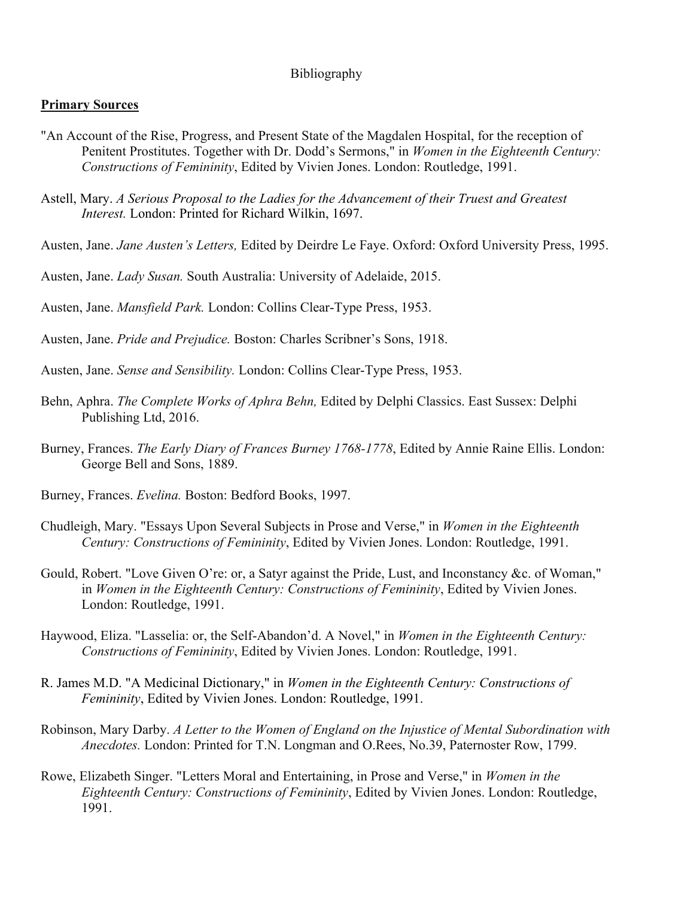# Bibliography

### **Primary Sources**

- "An Account of the Rise, Progress, and Present State of the Magdalen Hospital, for the reception of Penitent Prostitutes. Together with Dr. Dodd's Sermons," in *Women in the Eighteenth Century: Constructions of Femininity*, Edited by Vivien Jones. London: Routledge, 1991.
- Astell, Mary. *A Serious Proposal to the Ladies for the Advancement of their Truest and Greatest Interest.* London: Printed for Richard Wilkin, 1697.
- Austen, Jane. *Jane Austen's Letters,* Edited by Deirdre Le Faye. Oxford: Oxford University Press, 1995.
- Austen, Jane. *Lady Susan.* South Australia: University of Adelaide, 2015.
- Austen, Jane. *Mansfield Park.* London: Collins Clear-Type Press, 1953.
- Austen, Jane. *Pride and Prejudice.* Boston: Charles Scribner's Sons, 1918.
- Austen, Jane. *Sense and Sensibility.* London: Collins Clear-Type Press, 1953.
- Behn, Aphra. *The Complete Works of Aphra Behn,* Edited by Delphi Classics. East Sussex: Delphi Publishing Ltd, 2016.
- Burney, Frances. *The Early Diary of Frances Burney 1768-1778*, Edited by Annie Raine Ellis. London: George Bell and Sons, 1889.
- Burney, Frances. *Evelina.* Boston: Bedford Books, 1997.
- Chudleigh, Mary. "Essays Upon Several Subjects in Prose and Verse," in *Women in the Eighteenth Century: Constructions of Femininity*, Edited by Vivien Jones. London: Routledge, 1991.
- Gould, Robert. "Love Given O're: or, a Satyr against the Pride, Lust, and Inconstancy &c. of Woman," in *Women in the Eighteenth Century: Constructions of Femininity*, Edited by Vivien Jones. London: Routledge, 1991.
- Haywood, Eliza. "Lasselia: or, the Self-Abandon'd. A Novel," in *Women in the Eighteenth Century: Constructions of Femininity*, Edited by Vivien Jones. London: Routledge, 1991.
- R. James M.D. "A Medicinal Dictionary," in *Women in the Eighteenth Century: Constructions of Femininity*, Edited by Vivien Jones. London: Routledge, 1991.
- Robinson, Mary Darby. *A Letter to the Women of England on the Injustice of Mental Subordination with Anecdotes.* London: Printed for T.N. Longman and O.Rees, No.39, Paternoster Row, 1799.
- Rowe, Elizabeth Singer. "Letters Moral and Entertaining, in Prose and Verse," in *Women in the Eighteenth Century: Constructions of Femininity*, Edited by Vivien Jones. London: Routledge, 1991.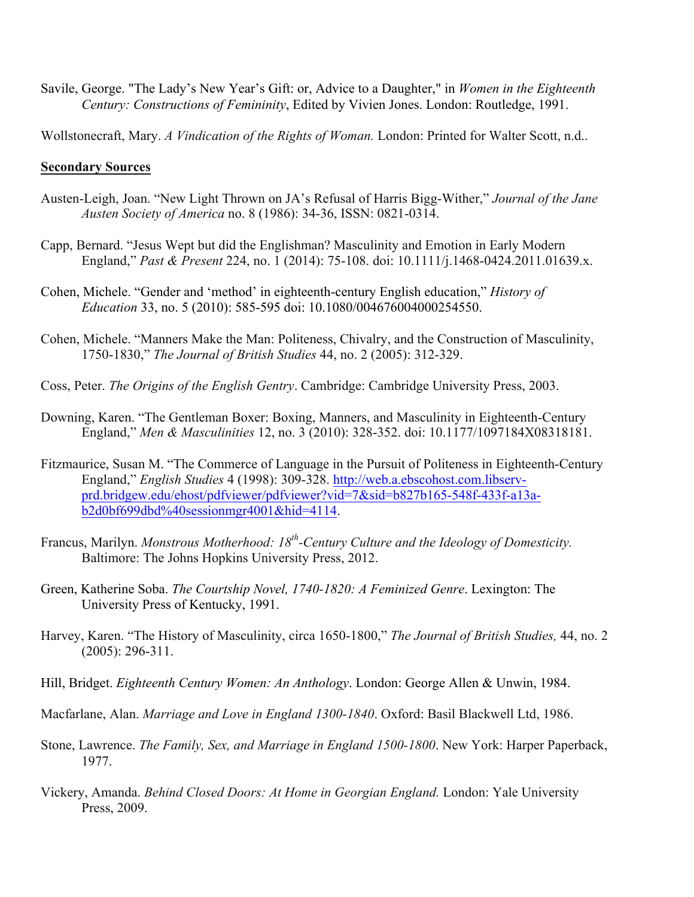Savile, George. "The Lady's New Year's Gift: or, Advice to a Daughter," in *Women in the Eighteenth Century: Constructions of Femininity*, Edited by Vivien Jones. London: Routledge, 1991.

Wollstonecraft, Mary. *A Vindication of the Rights of Woman.* London: Printed for Walter Scott, n.d..

## **Secondary Sources**

- Austen-Leigh, Joan. "New Light Thrown on JA's Refusal of Harris Bigg-Wither," *Journal of the Jane Austen Society of America* no. 8 (1986): 34-36, ISSN: 0821-0314.
- Capp, Bernard. "Jesus Wept but did the Englishman? Masculinity and Emotion in Early Modern England," *Past & Present* 224, no. 1 (2014): 75-108. doi: 10.1111/j.1468-0424.2011.01639.x.
- Cohen, Michele. "Gender and 'method' in eighteenth-century English education," *History of Education* 33, no. 5 (2010): 585-595 doi: 10.1080/004676004000254550.
- Cohen, Michele. "Manners Make the Man: Politeness, Chivalry, and the Construction of Masculinity, 1750-1830," *The Journal of British Studies* 44, no. 2 (2005): 312-329.
- Coss, Peter. *The Origins of the English Gentry*. Cambridge: Cambridge University Press, 2003.
- Downing, Karen. "The Gentleman Boxer: Boxing, Manners, and Masculinity in Eighteenth-Century England," *Men & Masculinities* 12, no. 3 (2010): 328-352. doi: 10.1177/1097184X08318181.
- Fitzmaurice, Susan M. "The Commerce of Language in the Pursuit of Politeness in Eighteenth-Century England," *English Studies* 4 (1998): 309-328. http://web.a.ebscohost.com.libservprd.bridgew.edu/ehost/pdfviewer/pdfviewer?vid=7&sid=b827b165-548f-433f-a13ab2d0bf699dbd%40sessionmgr4001&hid=4114.
- Francus, Marilyn. *Monstrous Motherhood: 18th-Century Culture and the Ideology of Domesticity.* Baltimore: The Johns Hopkins University Press, 2012.
- Green, Katherine Soba. *The Courtship Novel, 1740-1820: A Feminized Genre*. Lexington: The University Press of Kentucky, 1991.
- Harvey, Karen. "The History of Masculinity, circa 1650-1800," *The Journal of British Studies,* 44, no. 2 (2005): 296-311.
- Hill, Bridget. *Eighteenth Century Women: An Anthology*. London: George Allen & Unwin, 1984.
- Macfarlane, Alan. *Marriage and Love in England 1300-1840*. Oxford: Basil Blackwell Ltd, 1986.
- Stone, Lawrence. *The Family, Sex, and Marriage in England 1500-1800*. New York: Harper Paperback, 1977.
- Vickery, Amanda. *Behind Closed Doors: At Home in Georgian England.* London: Yale University Press, 2009.